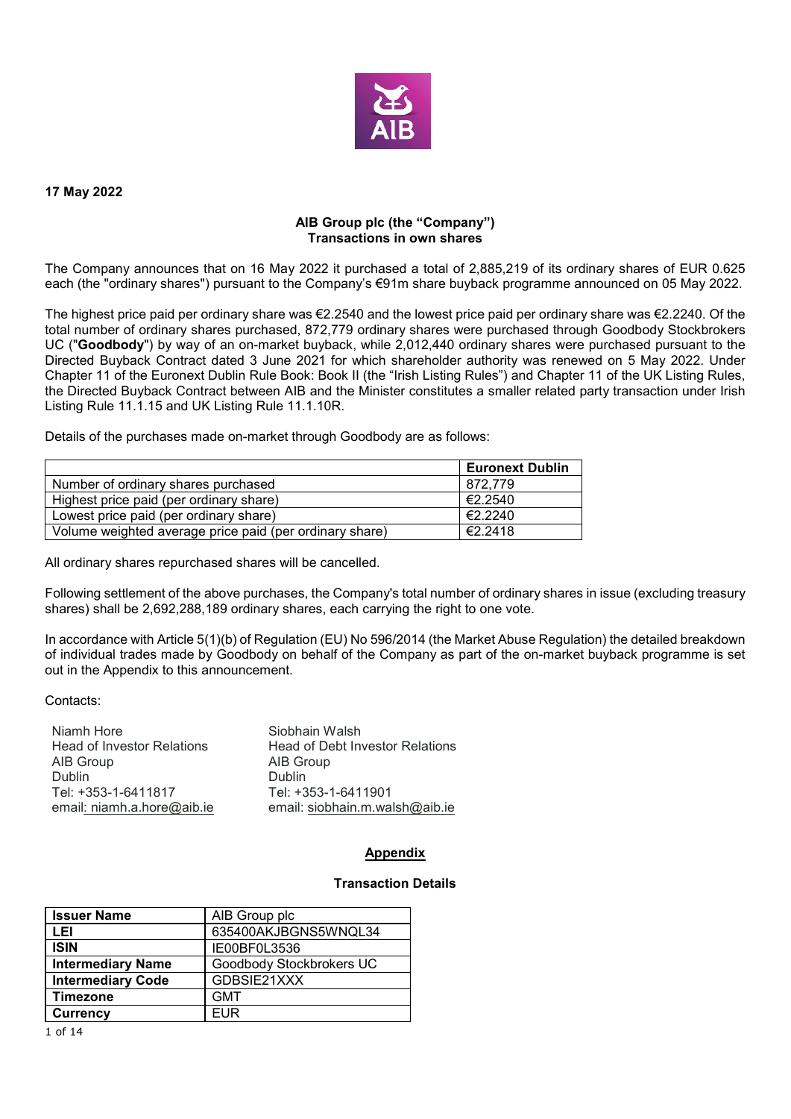

#### **17 May 2022**

## **AIB Group plc (the "Company") Transactions in own shares**

The Company announces that on 16 May 2022 it purchased a total of 2,885,219 of its ordinary shares of EUR 0.625 each (the "ordinary shares") pursuant to the Company's €91m share buyback programme announced on 05 May 2022.

The highest price paid per ordinary share was €2.2540 and the lowest price paid per ordinary share was €2.2240. Of the total number of ordinary shares purchased, 872,779 ordinary shares were purchased through Goodbody Stockbrokers UC ("**Goodbody**") by way of an on-market buyback, while 2,012,440 ordinary shares were purchased pursuant to the Directed Buyback Contract dated 3 June 2021 for which shareholder authority was renewed on 5 May 2022. Under Chapter 11 of the Euronext Dublin Rule Book: Book II (the "Irish Listing Rules") and Chapter 11 of the UK Listing Rules, the Directed Buyback Contract between AIB and the Minister constitutes a smaller related party transaction under Irish Listing Rule 11.1.15 and UK Listing Rule 11.1.10R.

Details of the purchases made on-market through Goodbody are as follows:

|                                                         | <b>Euronext Dublin</b> |
|---------------------------------------------------------|------------------------|
| Number of ordinary shares purchased                     | 872.779                |
| Highest price paid (per ordinary share)                 | €2.2540                |
| Lowest price paid (per ordinary share)                  | €2.2240                |
| Volume weighted average price paid (per ordinary share) | €2.2418                |

All ordinary shares repurchased shares will be cancelled.

Following settlement of the above purchases, the Company's total number of ordinary shares in issue (excluding treasury shares) shall be 2,692,288,189 ordinary shares, each carrying the right to one vote.

In accordance with Article 5(1)(b) of Regulation (EU) No 596/2014 (the Market Abuse Regulation) the detailed breakdown of individual trades made by Goodbody on behalf of the Company as part of the on-market buyback programme is set out in the Appendix to this announcement.

#### Contacts:

| Niamh Hore                        | Siobhain Walsh                         |
|-----------------------------------|----------------------------------------|
| <b>Head of Investor Relations</b> | <b>Head of Debt Investor Relations</b> |
| AIB Group                         | AIB Group                              |
| Dublin                            | <b>Dublin</b>                          |
| Tel: +353-1-6411817               | Tel: +353-1-6411901                    |
| email: niamh.a.hore@aib.ie        | email: siobhain.m.walsh@aib.ie         |

## **Appendix**

## **Transaction Details**

| <b>Issuer Name</b>       | AIB Group plc            |
|--------------------------|--------------------------|
| LEI                      | 635400AKJBGNS5WNQL34     |
| <b>ISIN</b>              | IE00BF0L3536             |
| <b>Intermediary Name</b> | Goodbody Stockbrokers UC |
| <b>Intermediary Code</b> | GDBSIE21XXX              |
| <b>Timezone</b>          | <b>GMT</b>               |
| <b>Currency</b>          | FUR                      |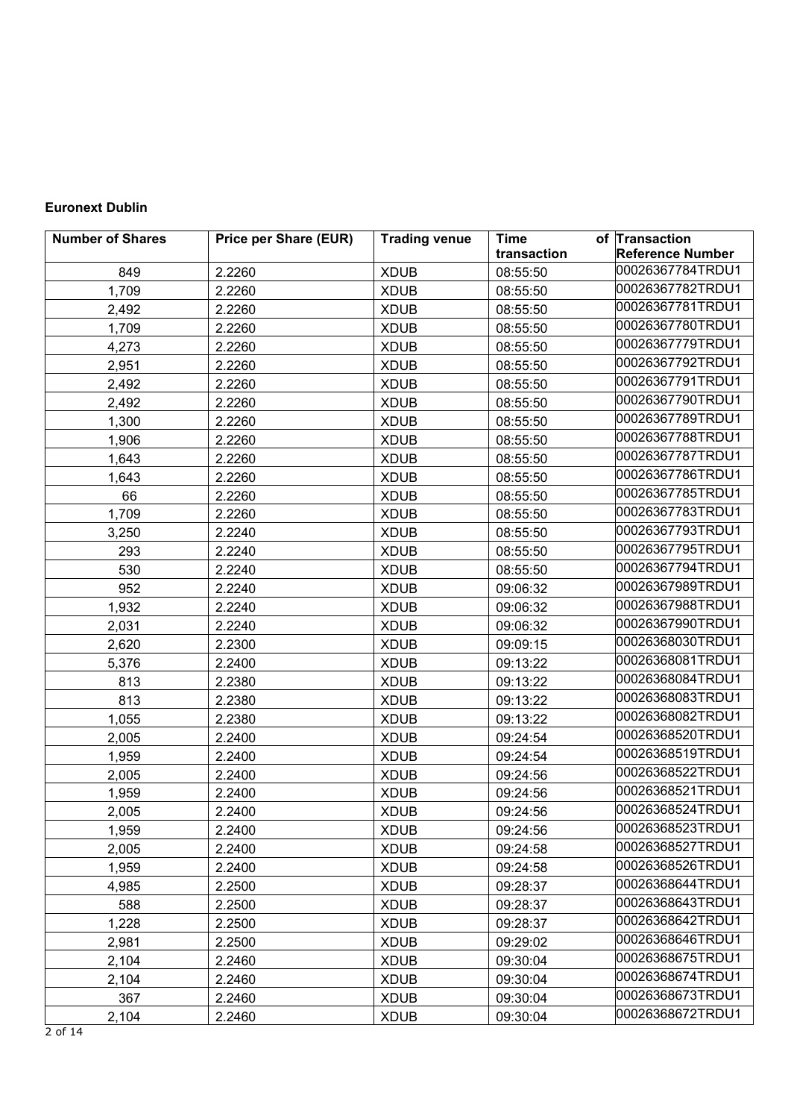# **Euronext Dublin**

| <b>Number of Shares</b> | <b>Price per Share (EUR)</b> | <b>Trading venue</b> | Time        | of Transaction          |
|-------------------------|------------------------------|----------------------|-------------|-------------------------|
|                         |                              |                      | transaction | <b>Reference Number</b> |
| 849                     | 2.2260                       | <b>XDUB</b>          | 08:55:50    | 00026367784TRDU1        |
| 1,709                   | 2.2260                       | <b>XDUB</b>          | 08:55:50    | 00026367782TRDU1        |
| 2,492                   | 2.2260                       | <b>XDUB</b>          | 08:55:50    | 00026367781TRDU1        |
| 1,709                   | 2.2260                       | <b>XDUB</b>          | 08:55:50    | 00026367780TRDU1        |
| 4,273                   | 2.2260                       | <b>XDUB</b>          | 08:55:50    | 00026367779TRDU1        |
| 2,951                   | 2.2260                       | <b>XDUB</b>          | 08:55:50    | 00026367792TRDU1        |
| 2,492                   | 2.2260                       | <b>XDUB</b>          | 08:55:50    | 00026367791TRDU1        |
| 2,492                   | 2.2260                       | <b>XDUB</b>          | 08:55:50    | 00026367790TRDU1        |
| 1,300                   | 2.2260                       | <b>XDUB</b>          | 08:55:50    | 00026367789TRDU1        |
| 1,906                   | 2.2260                       | <b>XDUB</b>          | 08:55:50    | 00026367788TRDU1        |
| 1,643                   | 2.2260                       | <b>XDUB</b>          | 08:55:50    | 00026367787TRDU1        |
| 1,643                   | 2.2260                       | <b>XDUB</b>          | 08:55:50    | 00026367786TRDU1        |
| 66                      | 2.2260                       | <b>XDUB</b>          | 08:55:50    | 00026367785TRDU1        |
| 1,709                   | 2.2260                       | <b>XDUB</b>          | 08:55:50    | 00026367783TRDU1        |
| 3,250                   | 2.2240                       | <b>XDUB</b>          | 08:55:50    | 00026367793TRDU1        |
| 293                     | 2.2240                       | <b>XDUB</b>          | 08:55:50    | 00026367795TRDU1        |
| 530                     | 2.2240                       | <b>XDUB</b>          | 08:55:50    | 00026367794TRDU1        |
| 952                     | 2.2240                       | <b>XDUB</b>          | 09:06:32    | 00026367989TRDU1        |
| 1,932                   | 2.2240                       | <b>XDUB</b>          | 09:06:32    | 00026367988TRDU1        |
| 2,031                   | 2.2240                       | <b>XDUB</b>          | 09:06:32    | 00026367990TRDU1        |
| 2,620                   | 2.2300                       | <b>XDUB</b>          | 09:09:15    | 00026368030TRDU1        |
| 5,376                   | 2.2400                       | <b>XDUB</b>          | 09:13:22    | 00026368081TRDU1        |
| 813                     | 2.2380                       | <b>XDUB</b>          | 09:13:22    | 00026368084TRDU1        |
| 813                     | 2.2380                       | <b>XDUB</b>          | 09:13:22    | 00026368083TRDU1        |
| 1,055                   | 2.2380                       | <b>XDUB</b>          | 09:13:22    | 00026368082TRDU1        |
| 2,005                   | 2.2400                       | <b>XDUB</b>          | 09:24:54    | 00026368520TRDU1        |
| 1,959                   | 2.2400                       | <b>XDUB</b>          | 09:24:54    | 00026368519TRDU1        |
| 2,005                   | 2.2400                       | <b>XDUB</b>          | 09:24:56    | 00026368522TRDU1        |
| 1,959                   | 2.2400                       | <b>XDUB</b>          | 09:24:56    | 00026368521TRDU1        |
| 2,005                   | 2.2400                       | <b>XDUB</b>          | 09:24:56    | 00026368524TRDU1        |
| 1,959                   | 2.2400                       | <b>XDUB</b>          | 09:24:56    | 00026368523TRDU1        |
| 2,005                   | 2.2400                       | <b>XDUB</b>          | 09:24:58    | 00026368527TRDU1        |
| 1,959                   | 2.2400                       | <b>XDUB</b>          | 09:24:58    | 00026368526TRDU1        |
| 4,985                   | 2.2500                       | <b>XDUB</b>          | 09:28:37    | 00026368644TRDU1        |
| 588                     | 2.2500                       | <b>XDUB</b>          | 09:28:37    | 00026368643TRDU1        |
| 1,228                   | 2.2500                       | <b>XDUB</b>          | 09:28:37    | 00026368642TRDU1        |
| 2,981                   | 2.2500                       | <b>XDUB</b>          | 09:29:02    | 00026368646TRDU1        |
| 2,104                   | 2.2460                       | <b>XDUB</b>          | 09:30:04    | 00026368675TRDU1        |
| 2,104                   | 2.2460                       | <b>XDUB</b>          | 09:30:04    | 00026368674TRDU1        |
| 367                     | 2.2460                       | <b>XDUB</b>          | 09:30:04    | 00026368673TRDU1        |
| 2,104                   | 2.2460                       | <b>XDUB</b>          | 09:30:04    | 00026368672TRDU1        |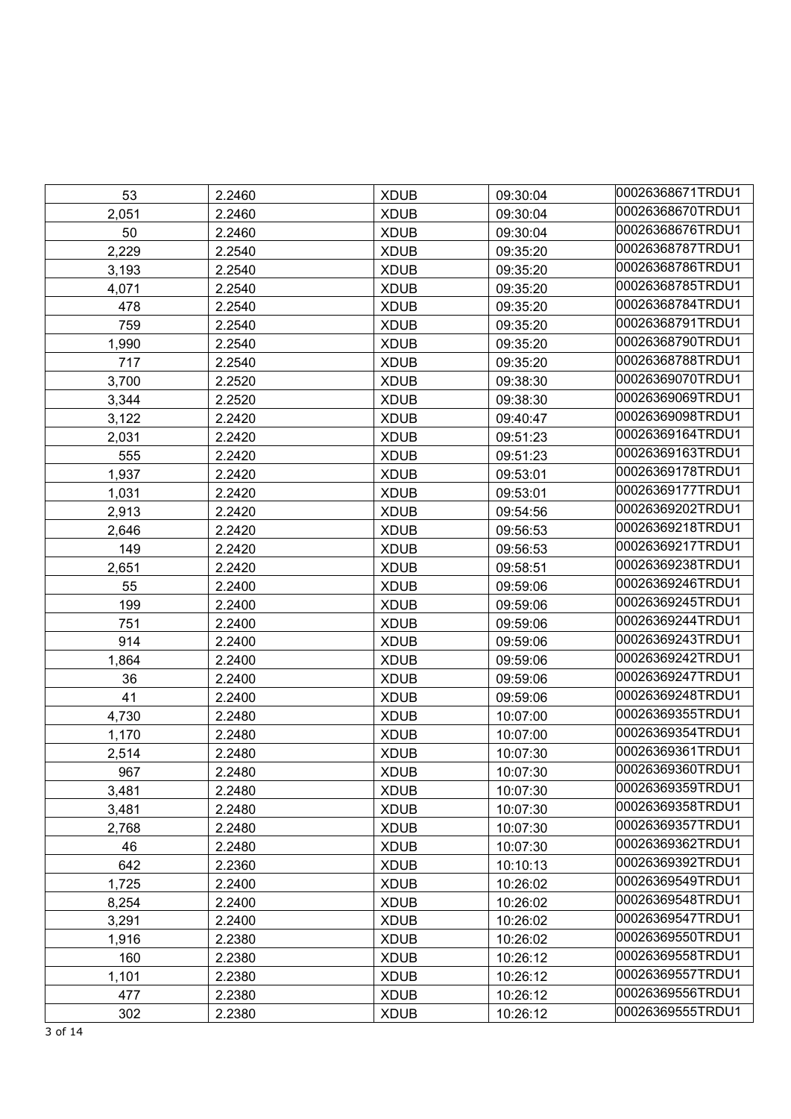| 53    | 2.2460 | <b>XDUB</b> | 09:30:04 | 00026368671TRDU1 |
|-------|--------|-------------|----------|------------------|
| 2,051 | 2.2460 | <b>XDUB</b> | 09:30:04 | 00026368670TRDU1 |
| 50    | 2.2460 | <b>XDUB</b> | 09:30:04 | 00026368676TRDU1 |
| 2,229 | 2.2540 | <b>XDUB</b> | 09:35:20 | 00026368787TRDU1 |
| 3,193 | 2.2540 | <b>XDUB</b> | 09:35:20 | 00026368786TRDU1 |
| 4,071 | 2.2540 | <b>XDUB</b> | 09:35:20 | 00026368785TRDU1 |
| 478   | 2.2540 | <b>XDUB</b> | 09:35:20 | 00026368784TRDU1 |
| 759   | 2.2540 | <b>XDUB</b> | 09:35:20 | 00026368791TRDU1 |
| 1,990 | 2.2540 | <b>XDUB</b> | 09:35:20 | 00026368790TRDU1 |
| 717   | 2.2540 | <b>XDUB</b> | 09:35:20 | 00026368788TRDU1 |
| 3,700 | 2.2520 | <b>XDUB</b> | 09:38:30 | 00026369070TRDU1 |
| 3,344 | 2.2520 | <b>XDUB</b> | 09:38:30 | 00026369069TRDU1 |
| 3,122 | 2.2420 | <b>XDUB</b> | 09:40:47 | 00026369098TRDU1 |
| 2,031 | 2.2420 | <b>XDUB</b> | 09:51:23 | 00026369164TRDU1 |
| 555   | 2.2420 | <b>XDUB</b> | 09:51:23 | 00026369163TRDU1 |
| 1,937 | 2.2420 | <b>XDUB</b> | 09:53:01 | 00026369178TRDU1 |
| 1,031 | 2.2420 | <b>XDUB</b> | 09:53:01 | 00026369177TRDU1 |
| 2,913 | 2.2420 | <b>XDUB</b> | 09:54:56 | 00026369202TRDU1 |
| 2,646 | 2.2420 | <b>XDUB</b> | 09:56:53 | 00026369218TRDU1 |
| 149   | 2.2420 | <b>XDUB</b> | 09:56:53 | 00026369217TRDU1 |
| 2,651 | 2.2420 | <b>XDUB</b> | 09:58:51 | 00026369238TRDU1 |
| 55    | 2.2400 | <b>XDUB</b> | 09:59:06 | 00026369246TRDU1 |
| 199   | 2.2400 | <b>XDUB</b> | 09:59:06 | 00026369245TRDU1 |
| 751   | 2.2400 | <b>XDUB</b> | 09:59:06 | 00026369244TRDU1 |
| 914   | 2.2400 | <b>XDUB</b> | 09:59:06 | 00026369243TRDU1 |
| 1,864 | 2.2400 | <b>XDUB</b> | 09:59:06 | 00026369242TRDU1 |
| 36    | 2.2400 | <b>XDUB</b> | 09:59:06 | 00026369247TRDU1 |
| 41    | 2.2400 | <b>XDUB</b> | 09:59:06 | 00026369248TRDU1 |
| 4,730 | 2.2480 | <b>XDUB</b> | 10:07:00 | 00026369355TRDU1 |
| 1,170 | 2.2480 | <b>XDUB</b> | 10:07:00 | 00026369354TRDU1 |
| 2,514 | 2.2480 | <b>XDUB</b> | 10:07:30 | 00026369361TRDU1 |
| 967   | 2.2480 | <b>XDUB</b> | 10:07:30 | 00026369360TRDU1 |
| 3,481 | 2.2480 | <b>XDUB</b> | 10:07:30 | 00026369359TRDU1 |
| 3,481 | 2.2480 | <b>XDUB</b> | 10:07:30 | 00026369358TRDU1 |
| 2,768 | 2.2480 | <b>XDUB</b> | 10:07:30 | 00026369357TRDU1 |
| 46    | 2.2480 | <b>XDUB</b> | 10:07:30 | 00026369362TRDU1 |
| 642   | 2.2360 | <b>XDUB</b> | 10:10:13 | 00026369392TRDU1 |
| 1,725 | 2.2400 | <b>XDUB</b> | 10:26:02 | 00026369549TRDU1 |
| 8,254 | 2.2400 | <b>XDUB</b> | 10:26:02 | 00026369548TRDU1 |
| 3,291 | 2.2400 | <b>XDUB</b> | 10:26:02 | 00026369547TRDU1 |
| 1,916 | 2.2380 | <b>XDUB</b> | 10:26:02 | 00026369550TRDU1 |
| 160   | 2.2380 | <b>XDUB</b> | 10:26:12 | 00026369558TRDU1 |
| 1,101 | 2.2380 | <b>XDUB</b> | 10:26:12 | 00026369557TRDU1 |
| 477   | 2.2380 | <b>XDUB</b> | 10:26:12 | 00026369556TRDU1 |
| 302   | 2.2380 | <b>XDUB</b> | 10:26:12 | 00026369555TRDU1 |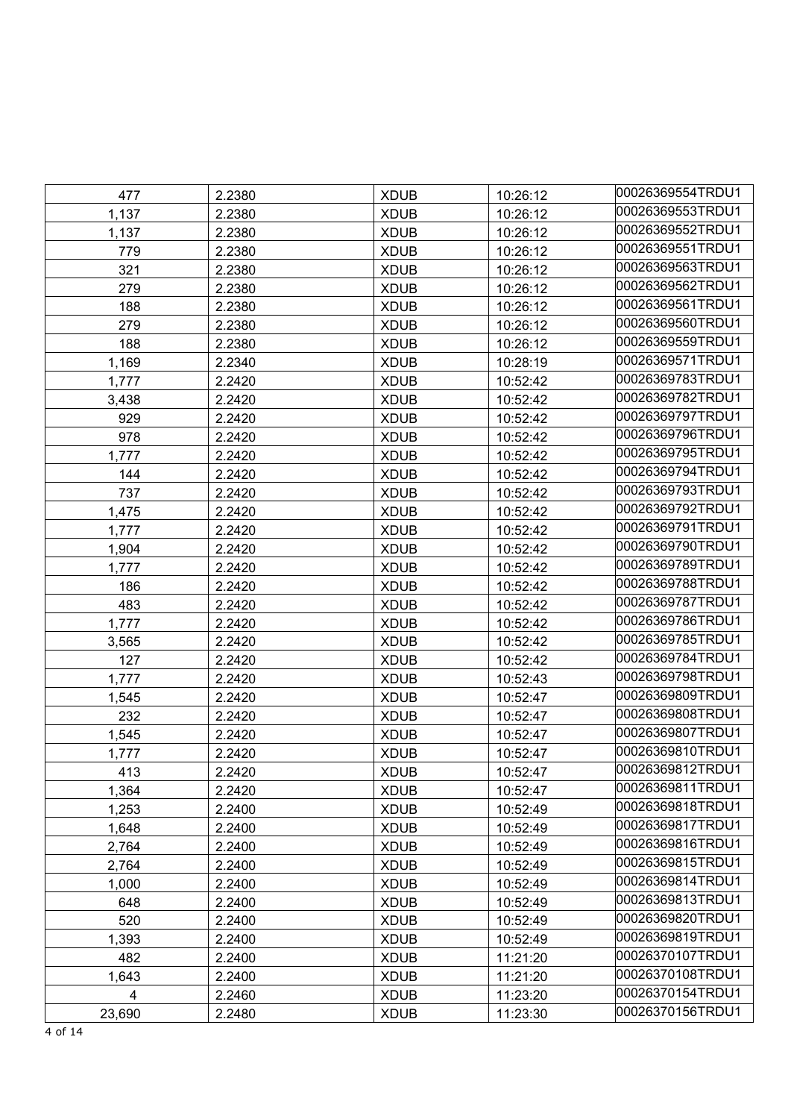| 477    | 2.2380 | <b>XDUB</b> | 10:26:12 | 00026369554TRDU1 |
|--------|--------|-------------|----------|------------------|
| 1,137  | 2.2380 | <b>XDUB</b> | 10:26:12 | 00026369553TRDU1 |
| 1,137  | 2.2380 | <b>XDUB</b> | 10:26:12 | 00026369552TRDU1 |
| 779    | 2.2380 | <b>XDUB</b> | 10:26:12 | 00026369551TRDU1 |
| 321    | 2.2380 | <b>XDUB</b> | 10:26:12 | 00026369563TRDU1 |
| 279    | 2.2380 | <b>XDUB</b> | 10:26:12 | 00026369562TRDU1 |
| 188    | 2.2380 | <b>XDUB</b> | 10:26:12 | 00026369561TRDU1 |
| 279    | 2.2380 | <b>XDUB</b> | 10:26:12 | 00026369560TRDU1 |
| 188    | 2.2380 | <b>XDUB</b> | 10:26:12 | 00026369559TRDU1 |
| 1,169  | 2.2340 | <b>XDUB</b> | 10:28:19 | 00026369571TRDU1 |
| 1,777  | 2.2420 | <b>XDUB</b> | 10:52:42 | 00026369783TRDU1 |
| 3,438  | 2.2420 | <b>XDUB</b> | 10:52:42 | 00026369782TRDU1 |
| 929    | 2.2420 | <b>XDUB</b> | 10:52:42 | 00026369797TRDU1 |
| 978    | 2.2420 | <b>XDUB</b> | 10:52:42 | 00026369796TRDU1 |
| 1,777  | 2.2420 | <b>XDUB</b> | 10:52:42 | 00026369795TRDU1 |
|        | 2.2420 | <b>XDUB</b> | 10:52:42 | 00026369794TRDU1 |
| 144    |        |             |          | 00026369793TRDU1 |
| 737    | 2.2420 | <b>XDUB</b> | 10:52:42 | 00026369792TRDU1 |
| 1,475  | 2.2420 | <b>XDUB</b> | 10:52:42 | 00026369791TRDU1 |
| 1,777  | 2.2420 | <b>XDUB</b> | 10:52:42 | 00026369790TRDU1 |
| 1,904  | 2.2420 | <b>XDUB</b> | 10:52:42 | 00026369789TRDU1 |
| 1,777  | 2.2420 | <b>XDUB</b> | 10:52:42 |                  |
| 186    | 2.2420 | <b>XDUB</b> | 10:52:42 | 00026369788TRDU1 |
| 483    | 2.2420 | <b>XDUB</b> | 10:52:42 | 00026369787TRDU1 |
| 1,777  | 2.2420 | <b>XDUB</b> | 10:52:42 | 00026369786TRDU1 |
| 3,565  | 2.2420 | <b>XDUB</b> | 10:52:42 | 00026369785TRDU1 |
| 127    | 2.2420 | <b>XDUB</b> | 10:52:42 | 00026369784TRDU1 |
| 1,777  | 2.2420 | <b>XDUB</b> | 10:52:43 | 00026369798TRDU1 |
| 1,545  | 2.2420 | <b>XDUB</b> | 10:52:47 | 00026369809TRDU1 |
| 232    | 2.2420 | <b>XDUB</b> | 10:52:47 | 00026369808TRDU1 |
| 1,545  | 2.2420 | <b>XDUB</b> | 10:52:47 | 00026369807TRDU1 |
| 1,777  | 2.2420 | <b>XDUB</b> | 10:52:47 | 00026369810TRDU1 |
| 413    | 2.2420 | <b>XDUB</b> | 10:52:47 | 00026369812TRDU1 |
| 1,364  | 2.2420 | <b>XDUB</b> | 10:52:47 | 00026369811TRDU1 |
| 1,253  | 2.2400 | <b>XDUB</b> | 10:52:49 | 00026369818TRDU1 |
| 1,648  | 2.2400 | <b>XDUB</b> | 10:52:49 | 00026369817TRDU1 |
| 2,764  | 2.2400 | <b>XDUB</b> | 10:52:49 | 00026369816TRDU1 |
| 2,764  | 2.2400 | <b>XDUB</b> | 10:52:49 | 00026369815TRDU1 |
| 1,000  | 2.2400 | <b>XDUB</b> | 10:52:49 | 00026369814TRDU1 |
| 648    | 2.2400 | <b>XDUB</b> | 10:52:49 | 00026369813TRDU1 |
| 520    | 2.2400 | <b>XDUB</b> | 10:52:49 | 00026369820TRDU1 |
| 1,393  | 2.2400 | <b>XDUB</b> | 10:52:49 | 00026369819TRDU1 |
| 482    | 2.2400 | <b>XDUB</b> | 11:21:20 | 00026370107TRDU1 |
| 1,643  | 2.2400 | <b>XDUB</b> | 11:21:20 | 00026370108TRDU1 |
| 4      | 2.2460 | <b>XDUB</b> | 11:23:20 | 00026370154TRDU1 |
| 23,690 | 2.2480 | <b>XDUB</b> | 11:23:30 | 00026370156TRDU1 |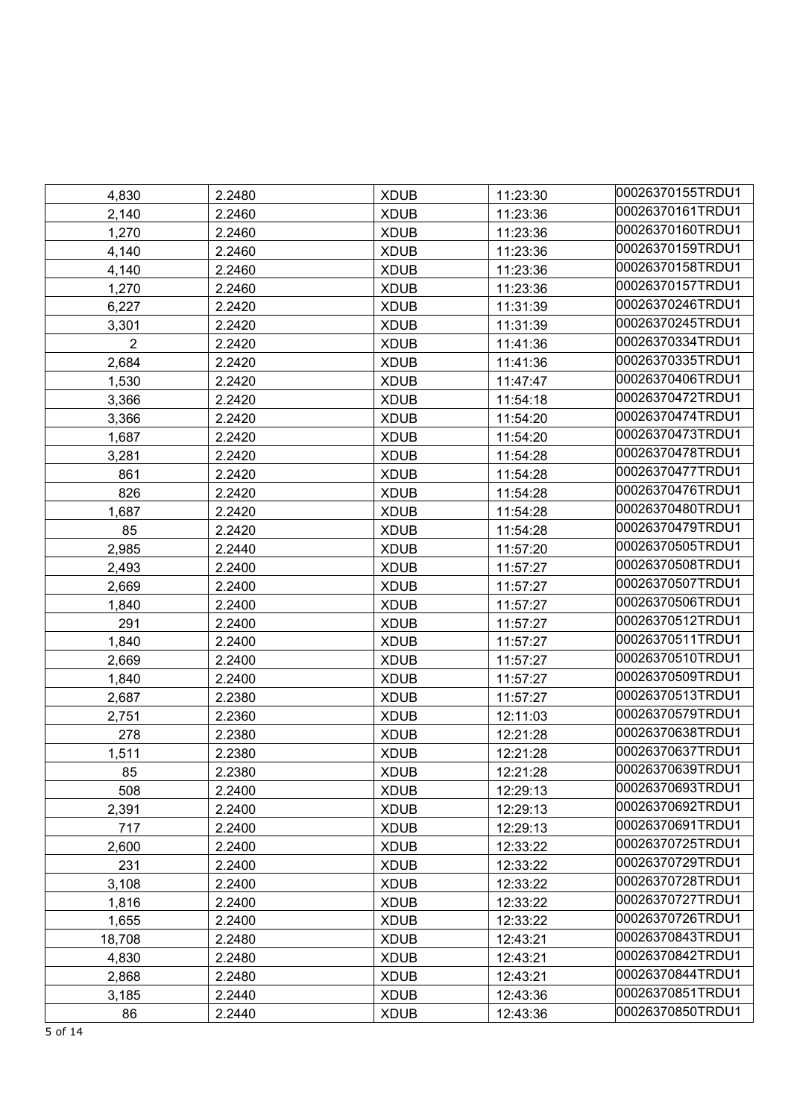| 4,830          | 2.2480 | <b>XDUB</b> | 11:23:30 | 00026370155TRDU1 |
|----------------|--------|-------------|----------|------------------|
| 2,140          | 2.2460 | <b>XDUB</b> | 11:23:36 | 00026370161TRDU1 |
| 1,270          | 2.2460 | <b>XDUB</b> | 11:23:36 | 00026370160TRDU1 |
| 4,140          | 2.2460 | <b>XDUB</b> | 11:23:36 | 00026370159TRDU1 |
| 4,140          | 2.2460 | <b>XDUB</b> | 11:23:36 | 00026370158TRDU1 |
| 1,270          | 2.2460 | <b>XDUB</b> | 11:23:36 | 00026370157TRDU1 |
| 6,227          | 2.2420 | <b>XDUB</b> | 11:31:39 | 00026370246TRDU1 |
| 3,301          | 2.2420 | <b>XDUB</b> | 11:31:39 | 00026370245TRDU1 |
| $\overline{2}$ | 2.2420 | <b>XDUB</b> | 11:41:36 | 00026370334TRDU1 |
| 2,684          | 2.2420 | <b>XDUB</b> | 11:41:36 | 00026370335TRDU1 |
| 1,530          | 2.2420 | <b>XDUB</b> | 11:47:47 | 00026370406TRDU1 |
| 3,366          | 2.2420 | <b>XDUB</b> | 11:54:18 | 00026370472TRDU1 |
| 3,366          | 2.2420 | <b>XDUB</b> | 11:54:20 | 00026370474TRDU1 |
| 1,687          | 2.2420 | <b>XDUB</b> | 11:54:20 | 00026370473TRDU1 |
| 3,281          | 2.2420 | <b>XDUB</b> | 11:54:28 | 00026370478TRDU1 |
| 861            | 2.2420 | <b>XDUB</b> | 11:54:28 | 00026370477TRDU1 |
| 826            | 2.2420 | <b>XDUB</b> | 11:54:28 | 00026370476TRDU1 |
| 1,687          | 2.2420 | <b>XDUB</b> | 11:54:28 | 00026370480TRDU1 |
| 85             | 2.2420 | <b>XDUB</b> | 11:54:28 | 00026370479TRDU1 |
| 2,985          | 2.2440 | <b>XDUB</b> | 11:57:20 | 00026370505TRDU1 |
| 2,493          | 2.2400 | <b>XDUB</b> | 11:57:27 | 00026370508TRDU1 |
| 2,669          | 2.2400 | <b>XDUB</b> | 11:57:27 | 00026370507TRDU1 |
| 1,840          | 2.2400 | <b>XDUB</b> | 11:57:27 | 00026370506TRDU1 |
| 291            | 2.2400 | <b>XDUB</b> | 11:57:27 | 00026370512TRDU1 |
| 1,840          | 2.2400 | <b>XDUB</b> | 11:57:27 | 00026370511TRDU1 |
| 2,669          | 2.2400 | <b>XDUB</b> | 11:57:27 | 00026370510TRDU1 |
| 1,840          | 2.2400 | <b>XDUB</b> | 11:57:27 | 00026370509TRDU1 |
| 2,687          | 2.2380 | <b>XDUB</b> | 11:57:27 | 00026370513TRDU1 |
| 2,751          | 2.2360 | <b>XDUB</b> | 12:11:03 | 00026370579TRDU1 |
| 278            | 2.2380 | <b>XDUB</b> | 12:21:28 | 00026370638TRDU1 |
| 1,511          | 2.2380 | <b>XDUB</b> | 12:21:28 | 00026370637TRDU1 |
| 85             | 2.2380 | <b>XDUB</b> | 12:21:28 | 00026370639TRDU1 |
| 508            | 2.2400 | <b>XDUB</b> | 12:29:13 | 00026370693TRDU1 |
| 2,391          | 2.2400 | <b>XDUB</b> | 12:29:13 | 00026370692TRDU1 |
| 717            | 2.2400 | <b>XDUB</b> | 12:29:13 | 00026370691TRDU1 |
| 2,600          | 2.2400 | <b>XDUB</b> | 12:33:22 | 00026370725TRDU1 |
| 231            | 2.2400 | <b>XDUB</b> | 12:33:22 | 00026370729TRDU1 |
| 3,108          | 2.2400 | <b>XDUB</b> | 12:33:22 | 00026370728TRDU1 |
| 1,816          | 2.2400 | <b>XDUB</b> | 12:33:22 | 00026370727TRDU1 |
| 1,655          | 2.2400 | <b>XDUB</b> | 12:33:22 | 00026370726TRDU1 |
| 18,708         | 2.2480 | <b>XDUB</b> | 12:43:21 | 00026370843TRDU1 |
| 4,830          | 2.2480 | <b>XDUB</b> | 12:43:21 | 00026370842TRDU1 |
| 2,868          | 2.2480 | <b>XDUB</b> | 12:43:21 | 00026370844TRDU1 |
| 3,185          | 2.2440 | <b>XDUB</b> | 12:43:36 | 00026370851TRDU1 |
| 86             | 2.2440 | <b>XDUB</b> | 12:43:36 | 00026370850TRDU1 |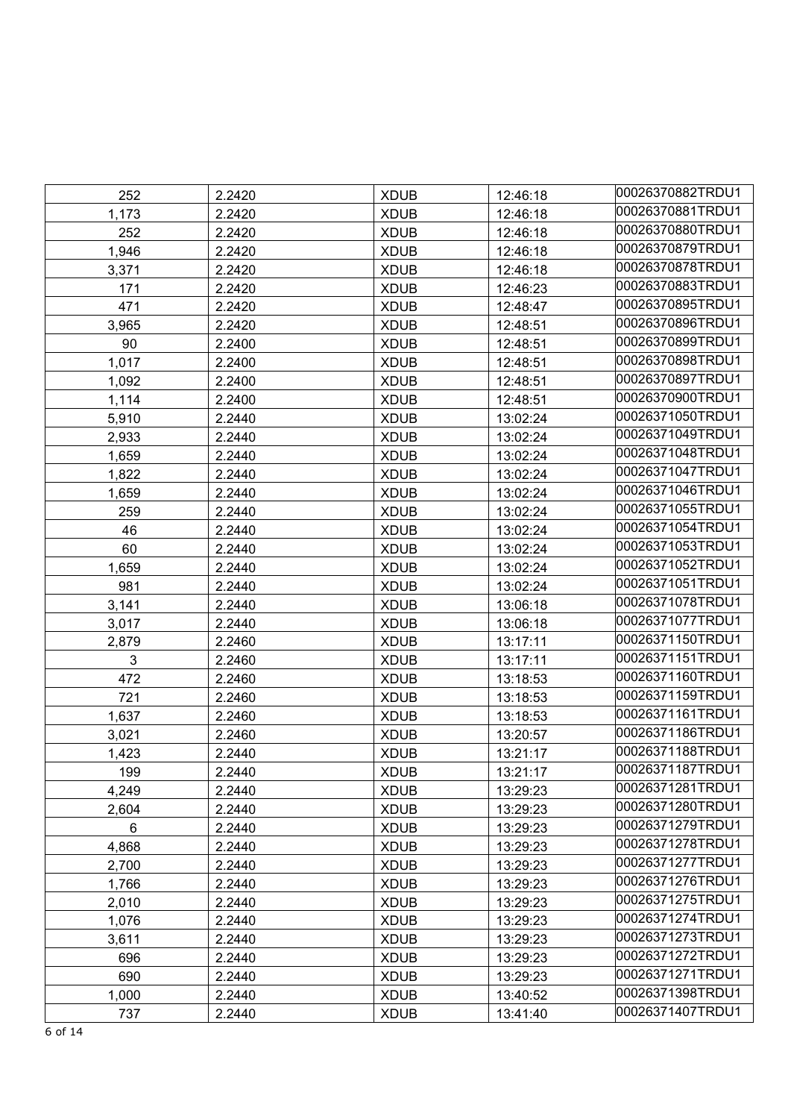| 00026370881TRDU1<br>1,173<br>2.2420<br><b>XDUB</b><br>12:46:18<br>00026370880TRDU1<br>252<br><b>XDUB</b><br>2.2420<br>12:46:18<br>00026370879TRDU1<br>1,946<br>2.2420<br><b>XDUB</b><br>12:46:18<br>00026370878TRDU1<br><b>XDUB</b><br>3,371<br>2.2420<br>12:46:18<br>00026370883TRDU1<br><b>XDUB</b><br>171<br>2.2420<br>12:46:23<br>00026370895TRDU1<br>471<br>2.2420<br><b>XDUB</b><br>12:48:47<br>00026370896TRDU1<br><b>XDUB</b><br>3,965<br>2.2420<br>12:48:51<br>00026370899TRDU1<br>90<br><b>XDUB</b><br>2.2400<br>12:48:51<br>00026370898TRDU1<br>1,017<br><b>XDUB</b><br>12:48:51<br>2.2400<br>00026370897TRDU1<br>1,092<br>2.2400<br><b>XDUB</b><br>12:48:51<br>00026370900TRDU1<br><b>XDUB</b><br>1,114<br>2.2400<br>12:48:51<br>00026371050TRDU1<br><b>XDUB</b><br>13:02:24<br>5,910<br>2.2440<br>00026371049TRDU1<br><b>XDUB</b><br>2,933<br>2.2440<br>13:02:24<br>00026371048TRDU1<br><b>XDUB</b><br>1,659<br>2.2440<br>13:02:24<br>00026371047TRDU1<br>1,822<br><b>XDUB</b><br>13:02:24<br>2.2440<br>00026371046TRDU1<br>1,659<br>2.2440<br><b>XDUB</b><br>13:02:24<br>00026371055TRDU1<br><b>XDUB</b><br>13:02:24<br>259<br>2.2440<br>00026371054TRDU1<br>46<br>2.2440<br><b>XDUB</b><br>13:02:24<br>00026371053TRDU1<br>60<br>2.2440<br><b>XDUB</b><br>13:02:24<br>00026371052TRDU1<br><b>XDUB</b><br>1,659<br>2.2440<br>13:02:24<br>00026371051TRDU1<br>981<br>2.2440<br><b>XDUB</b><br>13:02:24<br>00026371078TRDU1<br>3,141<br>2.2440<br><b>XDUB</b><br>13:06:18<br>00026371077TRDU1<br><b>XDUB</b><br>3,017<br>2.2440<br>13:06:18<br>00026371150TRDU1<br>2,879<br>2.2460<br><b>XDUB</b><br>13:17:11<br>00026371151TRDU1<br>3<br><b>XDUB</b><br>2.2460<br>13:17:11<br>00026371160TRDU1<br>472<br>2.2460<br><b>XDUB</b><br>13:18:53<br>00026371159TRDU1<br>721<br>2.2460<br><b>XDUB</b><br>13:18:53<br>00026371161TRDU1<br>1,637<br>2.2460<br><b>XDUB</b><br>13:18:53<br>00026371186TRDU1<br><b>XDUB</b><br>3,021<br>2.2460<br>13:20:57<br>00026371188TRDU1<br>2.2440<br><b>XDUB</b><br>13:21:17<br>1,423<br>00026371187TRDU1<br>199<br>2.2440<br><b>XDUB</b><br>13:21:17<br>00026371281TRDU1<br>4,249<br>2.2440<br><b>XDUB</b><br>13:29:23<br>00026371280TRDU1<br>2,604<br>2.2440<br><b>XDUB</b><br>13:29:23<br>00026371279TRDU1<br>6<br>2.2440<br><b>XDUB</b><br>13:29:23<br>00026371278TRDU1<br>4,868<br>2.2440<br><b>XDUB</b><br>13:29:23<br>00026371277TRDU1<br>2,700<br>2.2440<br><b>XDUB</b><br>13:29:23<br>00026371276TRDU1<br>1,766<br>2.2440<br><b>XDUB</b><br>13:29:23<br>00026371275TRDU1<br><b>XDUB</b><br>13:29:23<br>2,010<br>2.2440<br>00026371274TRDU1<br>1,076<br>2.2440<br><b>XDUB</b><br>13:29:23<br>00026371273TRDU1<br>3,611<br>2.2440<br><b>XDUB</b><br>13:29:23<br>00026371272TRDU1<br>696<br>2.2440<br><b>XDUB</b><br>13:29:23<br>00026371271TRDU1<br>690<br>2.2440<br><b>XDUB</b><br>13:29:23<br>00026371398TRDU1<br>1,000<br><b>XDUB</b><br>2.2440<br>13:40:52 | 252 | 2.2420 | <b>XDUB</b> | 12:46:18 | 00026370882TRDU1 |
|---------------------------------------------------------------------------------------------------------------------------------------------------------------------------------------------------------------------------------------------------------------------------------------------------------------------------------------------------------------------------------------------------------------------------------------------------------------------------------------------------------------------------------------------------------------------------------------------------------------------------------------------------------------------------------------------------------------------------------------------------------------------------------------------------------------------------------------------------------------------------------------------------------------------------------------------------------------------------------------------------------------------------------------------------------------------------------------------------------------------------------------------------------------------------------------------------------------------------------------------------------------------------------------------------------------------------------------------------------------------------------------------------------------------------------------------------------------------------------------------------------------------------------------------------------------------------------------------------------------------------------------------------------------------------------------------------------------------------------------------------------------------------------------------------------------------------------------------------------------------------------------------------------------------------------------------------------------------------------------------------------------------------------------------------------------------------------------------------------------------------------------------------------------------------------------------------------------------------------------------------------------------------------------------------------------------------------------------------------------------------------------------------------------------------------------------------------------------------------------------------------------------------------------------------------------------------------------------------------------------------------------------------------------------------------------------------------------------------------------------------------------------------------------------------------------------------------------------------------------------------------------------------------------|-----|--------|-------------|----------|------------------|
|                                                                                                                                                                                                                                                                                                                                                                                                                                                                                                                                                                                                                                                                                                                                                                                                                                                                                                                                                                                                                                                                                                                                                                                                                                                                                                                                                                                                                                                                                                                                                                                                                                                                                                                                                                                                                                                                                                                                                                                                                                                                                                                                                                                                                                                                                                                                                                                                                                                                                                                                                                                                                                                                                                                                                                                                                                                                                                               |     |        |             |          |                  |
|                                                                                                                                                                                                                                                                                                                                                                                                                                                                                                                                                                                                                                                                                                                                                                                                                                                                                                                                                                                                                                                                                                                                                                                                                                                                                                                                                                                                                                                                                                                                                                                                                                                                                                                                                                                                                                                                                                                                                                                                                                                                                                                                                                                                                                                                                                                                                                                                                                                                                                                                                                                                                                                                                                                                                                                                                                                                                                               |     |        |             |          |                  |
|                                                                                                                                                                                                                                                                                                                                                                                                                                                                                                                                                                                                                                                                                                                                                                                                                                                                                                                                                                                                                                                                                                                                                                                                                                                                                                                                                                                                                                                                                                                                                                                                                                                                                                                                                                                                                                                                                                                                                                                                                                                                                                                                                                                                                                                                                                                                                                                                                                                                                                                                                                                                                                                                                                                                                                                                                                                                                                               |     |        |             |          |                  |
|                                                                                                                                                                                                                                                                                                                                                                                                                                                                                                                                                                                                                                                                                                                                                                                                                                                                                                                                                                                                                                                                                                                                                                                                                                                                                                                                                                                                                                                                                                                                                                                                                                                                                                                                                                                                                                                                                                                                                                                                                                                                                                                                                                                                                                                                                                                                                                                                                                                                                                                                                                                                                                                                                                                                                                                                                                                                                                               |     |        |             |          |                  |
|                                                                                                                                                                                                                                                                                                                                                                                                                                                                                                                                                                                                                                                                                                                                                                                                                                                                                                                                                                                                                                                                                                                                                                                                                                                                                                                                                                                                                                                                                                                                                                                                                                                                                                                                                                                                                                                                                                                                                                                                                                                                                                                                                                                                                                                                                                                                                                                                                                                                                                                                                                                                                                                                                                                                                                                                                                                                                                               |     |        |             |          |                  |
|                                                                                                                                                                                                                                                                                                                                                                                                                                                                                                                                                                                                                                                                                                                                                                                                                                                                                                                                                                                                                                                                                                                                                                                                                                                                                                                                                                                                                                                                                                                                                                                                                                                                                                                                                                                                                                                                                                                                                                                                                                                                                                                                                                                                                                                                                                                                                                                                                                                                                                                                                                                                                                                                                                                                                                                                                                                                                                               |     |        |             |          |                  |
|                                                                                                                                                                                                                                                                                                                                                                                                                                                                                                                                                                                                                                                                                                                                                                                                                                                                                                                                                                                                                                                                                                                                                                                                                                                                                                                                                                                                                                                                                                                                                                                                                                                                                                                                                                                                                                                                                                                                                                                                                                                                                                                                                                                                                                                                                                                                                                                                                                                                                                                                                                                                                                                                                                                                                                                                                                                                                                               |     |        |             |          |                  |
|                                                                                                                                                                                                                                                                                                                                                                                                                                                                                                                                                                                                                                                                                                                                                                                                                                                                                                                                                                                                                                                                                                                                                                                                                                                                                                                                                                                                                                                                                                                                                                                                                                                                                                                                                                                                                                                                                                                                                                                                                                                                                                                                                                                                                                                                                                                                                                                                                                                                                                                                                                                                                                                                                                                                                                                                                                                                                                               |     |        |             |          |                  |
|                                                                                                                                                                                                                                                                                                                                                                                                                                                                                                                                                                                                                                                                                                                                                                                                                                                                                                                                                                                                                                                                                                                                                                                                                                                                                                                                                                                                                                                                                                                                                                                                                                                                                                                                                                                                                                                                                                                                                                                                                                                                                                                                                                                                                                                                                                                                                                                                                                                                                                                                                                                                                                                                                                                                                                                                                                                                                                               |     |        |             |          |                  |
|                                                                                                                                                                                                                                                                                                                                                                                                                                                                                                                                                                                                                                                                                                                                                                                                                                                                                                                                                                                                                                                                                                                                                                                                                                                                                                                                                                                                                                                                                                                                                                                                                                                                                                                                                                                                                                                                                                                                                                                                                                                                                                                                                                                                                                                                                                                                                                                                                                                                                                                                                                                                                                                                                                                                                                                                                                                                                                               |     |        |             |          |                  |
|                                                                                                                                                                                                                                                                                                                                                                                                                                                                                                                                                                                                                                                                                                                                                                                                                                                                                                                                                                                                                                                                                                                                                                                                                                                                                                                                                                                                                                                                                                                                                                                                                                                                                                                                                                                                                                                                                                                                                                                                                                                                                                                                                                                                                                                                                                                                                                                                                                                                                                                                                                                                                                                                                                                                                                                                                                                                                                               |     |        |             |          |                  |
|                                                                                                                                                                                                                                                                                                                                                                                                                                                                                                                                                                                                                                                                                                                                                                                                                                                                                                                                                                                                                                                                                                                                                                                                                                                                                                                                                                                                                                                                                                                                                                                                                                                                                                                                                                                                                                                                                                                                                                                                                                                                                                                                                                                                                                                                                                                                                                                                                                                                                                                                                                                                                                                                                                                                                                                                                                                                                                               |     |        |             |          |                  |
|                                                                                                                                                                                                                                                                                                                                                                                                                                                                                                                                                                                                                                                                                                                                                                                                                                                                                                                                                                                                                                                                                                                                                                                                                                                                                                                                                                                                                                                                                                                                                                                                                                                                                                                                                                                                                                                                                                                                                                                                                                                                                                                                                                                                                                                                                                                                                                                                                                                                                                                                                                                                                                                                                                                                                                                                                                                                                                               |     |        |             |          |                  |
|                                                                                                                                                                                                                                                                                                                                                                                                                                                                                                                                                                                                                                                                                                                                                                                                                                                                                                                                                                                                                                                                                                                                                                                                                                                                                                                                                                                                                                                                                                                                                                                                                                                                                                                                                                                                                                                                                                                                                                                                                                                                                                                                                                                                                                                                                                                                                                                                                                                                                                                                                                                                                                                                                                                                                                                                                                                                                                               |     |        |             |          |                  |
|                                                                                                                                                                                                                                                                                                                                                                                                                                                                                                                                                                                                                                                                                                                                                                                                                                                                                                                                                                                                                                                                                                                                                                                                                                                                                                                                                                                                                                                                                                                                                                                                                                                                                                                                                                                                                                                                                                                                                                                                                                                                                                                                                                                                                                                                                                                                                                                                                                                                                                                                                                                                                                                                                                                                                                                                                                                                                                               |     |        |             |          |                  |
|                                                                                                                                                                                                                                                                                                                                                                                                                                                                                                                                                                                                                                                                                                                                                                                                                                                                                                                                                                                                                                                                                                                                                                                                                                                                                                                                                                                                                                                                                                                                                                                                                                                                                                                                                                                                                                                                                                                                                                                                                                                                                                                                                                                                                                                                                                                                                                                                                                                                                                                                                                                                                                                                                                                                                                                                                                                                                                               |     |        |             |          |                  |
|                                                                                                                                                                                                                                                                                                                                                                                                                                                                                                                                                                                                                                                                                                                                                                                                                                                                                                                                                                                                                                                                                                                                                                                                                                                                                                                                                                                                                                                                                                                                                                                                                                                                                                                                                                                                                                                                                                                                                                                                                                                                                                                                                                                                                                                                                                                                                                                                                                                                                                                                                                                                                                                                                                                                                                                                                                                                                                               |     |        |             |          |                  |
|                                                                                                                                                                                                                                                                                                                                                                                                                                                                                                                                                                                                                                                                                                                                                                                                                                                                                                                                                                                                                                                                                                                                                                                                                                                                                                                                                                                                                                                                                                                                                                                                                                                                                                                                                                                                                                                                                                                                                                                                                                                                                                                                                                                                                                                                                                                                                                                                                                                                                                                                                                                                                                                                                                                                                                                                                                                                                                               |     |        |             |          |                  |
|                                                                                                                                                                                                                                                                                                                                                                                                                                                                                                                                                                                                                                                                                                                                                                                                                                                                                                                                                                                                                                                                                                                                                                                                                                                                                                                                                                                                                                                                                                                                                                                                                                                                                                                                                                                                                                                                                                                                                                                                                                                                                                                                                                                                                                                                                                                                                                                                                                                                                                                                                                                                                                                                                                                                                                                                                                                                                                               |     |        |             |          |                  |
|                                                                                                                                                                                                                                                                                                                                                                                                                                                                                                                                                                                                                                                                                                                                                                                                                                                                                                                                                                                                                                                                                                                                                                                                                                                                                                                                                                                                                                                                                                                                                                                                                                                                                                                                                                                                                                                                                                                                                                                                                                                                                                                                                                                                                                                                                                                                                                                                                                                                                                                                                                                                                                                                                                                                                                                                                                                                                                               |     |        |             |          |                  |
|                                                                                                                                                                                                                                                                                                                                                                                                                                                                                                                                                                                                                                                                                                                                                                                                                                                                                                                                                                                                                                                                                                                                                                                                                                                                                                                                                                                                                                                                                                                                                                                                                                                                                                                                                                                                                                                                                                                                                                                                                                                                                                                                                                                                                                                                                                                                                                                                                                                                                                                                                                                                                                                                                                                                                                                                                                                                                                               |     |        |             |          |                  |
|                                                                                                                                                                                                                                                                                                                                                                                                                                                                                                                                                                                                                                                                                                                                                                                                                                                                                                                                                                                                                                                                                                                                                                                                                                                                                                                                                                                                                                                                                                                                                                                                                                                                                                                                                                                                                                                                                                                                                                                                                                                                                                                                                                                                                                                                                                                                                                                                                                                                                                                                                                                                                                                                                                                                                                                                                                                                                                               |     |        |             |          |                  |
|                                                                                                                                                                                                                                                                                                                                                                                                                                                                                                                                                                                                                                                                                                                                                                                                                                                                                                                                                                                                                                                                                                                                                                                                                                                                                                                                                                                                                                                                                                                                                                                                                                                                                                                                                                                                                                                                                                                                                                                                                                                                                                                                                                                                                                                                                                                                                                                                                                                                                                                                                                                                                                                                                                                                                                                                                                                                                                               |     |        |             |          |                  |
|                                                                                                                                                                                                                                                                                                                                                                                                                                                                                                                                                                                                                                                                                                                                                                                                                                                                                                                                                                                                                                                                                                                                                                                                                                                                                                                                                                                                                                                                                                                                                                                                                                                                                                                                                                                                                                                                                                                                                                                                                                                                                                                                                                                                                                                                                                                                                                                                                                                                                                                                                                                                                                                                                                                                                                                                                                                                                                               |     |        |             |          |                  |
|                                                                                                                                                                                                                                                                                                                                                                                                                                                                                                                                                                                                                                                                                                                                                                                                                                                                                                                                                                                                                                                                                                                                                                                                                                                                                                                                                                                                                                                                                                                                                                                                                                                                                                                                                                                                                                                                                                                                                                                                                                                                                                                                                                                                                                                                                                                                                                                                                                                                                                                                                                                                                                                                                                                                                                                                                                                                                                               |     |        |             |          |                  |
|                                                                                                                                                                                                                                                                                                                                                                                                                                                                                                                                                                                                                                                                                                                                                                                                                                                                                                                                                                                                                                                                                                                                                                                                                                                                                                                                                                                                                                                                                                                                                                                                                                                                                                                                                                                                                                                                                                                                                                                                                                                                                                                                                                                                                                                                                                                                                                                                                                                                                                                                                                                                                                                                                                                                                                                                                                                                                                               |     |        |             |          |                  |
|                                                                                                                                                                                                                                                                                                                                                                                                                                                                                                                                                                                                                                                                                                                                                                                                                                                                                                                                                                                                                                                                                                                                                                                                                                                                                                                                                                                                                                                                                                                                                                                                                                                                                                                                                                                                                                                                                                                                                                                                                                                                                                                                                                                                                                                                                                                                                                                                                                                                                                                                                                                                                                                                                                                                                                                                                                                                                                               |     |        |             |          |                  |
|                                                                                                                                                                                                                                                                                                                                                                                                                                                                                                                                                                                                                                                                                                                                                                                                                                                                                                                                                                                                                                                                                                                                                                                                                                                                                                                                                                                                                                                                                                                                                                                                                                                                                                                                                                                                                                                                                                                                                                                                                                                                                                                                                                                                                                                                                                                                                                                                                                                                                                                                                                                                                                                                                                                                                                                                                                                                                                               |     |        |             |          |                  |
|                                                                                                                                                                                                                                                                                                                                                                                                                                                                                                                                                                                                                                                                                                                                                                                                                                                                                                                                                                                                                                                                                                                                                                                                                                                                                                                                                                                                                                                                                                                                                                                                                                                                                                                                                                                                                                                                                                                                                                                                                                                                                                                                                                                                                                                                                                                                                                                                                                                                                                                                                                                                                                                                                                                                                                                                                                                                                                               |     |        |             |          |                  |
|                                                                                                                                                                                                                                                                                                                                                                                                                                                                                                                                                                                                                                                                                                                                                                                                                                                                                                                                                                                                                                                                                                                                                                                                                                                                                                                                                                                                                                                                                                                                                                                                                                                                                                                                                                                                                                                                                                                                                                                                                                                                                                                                                                                                                                                                                                                                                                                                                                                                                                                                                                                                                                                                                                                                                                                                                                                                                                               |     |        |             |          |                  |
|                                                                                                                                                                                                                                                                                                                                                                                                                                                                                                                                                                                                                                                                                                                                                                                                                                                                                                                                                                                                                                                                                                                                                                                                                                                                                                                                                                                                                                                                                                                                                                                                                                                                                                                                                                                                                                                                                                                                                                                                                                                                                                                                                                                                                                                                                                                                                                                                                                                                                                                                                                                                                                                                                                                                                                                                                                                                                                               |     |        |             |          |                  |
|                                                                                                                                                                                                                                                                                                                                                                                                                                                                                                                                                                                                                                                                                                                                                                                                                                                                                                                                                                                                                                                                                                                                                                                                                                                                                                                                                                                                                                                                                                                                                                                                                                                                                                                                                                                                                                                                                                                                                                                                                                                                                                                                                                                                                                                                                                                                                                                                                                                                                                                                                                                                                                                                                                                                                                                                                                                                                                               |     |        |             |          |                  |
|                                                                                                                                                                                                                                                                                                                                                                                                                                                                                                                                                                                                                                                                                                                                                                                                                                                                                                                                                                                                                                                                                                                                                                                                                                                                                                                                                                                                                                                                                                                                                                                                                                                                                                                                                                                                                                                                                                                                                                                                                                                                                                                                                                                                                                                                                                                                                                                                                                                                                                                                                                                                                                                                                                                                                                                                                                                                                                               |     |        |             |          |                  |
|                                                                                                                                                                                                                                                                                                                                                                                                                                                                                                                                                                                                                                                                                                                                                                                                                                                                                                                                                                                                                                                                                                                                                                                                                                                                                                                                                                                                                                                                                                                                                                                                                                                                                                                                                                                                                                                                                                                                                                                                                                                                                                                                                                                                                                                                                                                                                                                                                                                                                                                                                                                                                                                                                                                                                                                                                                                                                                               |     |        |             |          |                  |
|                                                                                                                                                                                                                                                                                                                                                                                                                                                                                                                                                                                                                                                                                                                                                                                                                                                                                                                                                                                                                                                                                                                                                                                                                                                                                                                                                                                                                                                                                                                                                                                                                                                                                                                                                                                                                                                                                                                                                                                                                                                                                                                                                                                                                                                                                                                                                                                                                                                                                                                                                                                                                                                                                                                                                                                                                                                                                                               |     |        |             |          |                  |
|                                                                                                                                                                                                                                                                                                                                                                                                                                                                                                                                                                                                                                                                                                                                                                                                                                                                                                                                                                                                                                                                                                                                                                                                                                                                                                                                                                                                                                                                                                                                                                                                                                                                                                                                                                                                                                                                                                                                                                                                                                                                                                                                                                                                                                                                                                                                                                                                                                                                                                                                                                                                                                                                                                                                                                                                                                                                                                               |     |        |             |          |                  |
|                                                                                                                                                                                                                                                                                                                                                                                                                                                                                                                                                                                                                                                                                                                                                                                                                                                                                                                                                                                                                                                                                                                                                                                                                                                                                                                                                                                                                                                                                                                                                                                                                                                                                                                                                                                                                                                                                                                                                                                                                                                                                                                                                                                                                                                                                                                                                                                                                                                                                                                                                                                                                                                                                                                                                                                                                                                                                                               |     |        |             |          |                  |
|                                                                                                                                                                                                                                                                                                                                                                                                                                                                                                                                                                                                                                                                                                                                                                                                                                                                                                                                                                                                                                                                                                                                                                                                                                                                                                                                                                                                                                                                                                                                                                                                                                                                                                                                                                                                                                                                                                                                                                                                                                                                                                                                                                                                                                                                                                                                                                                                                                                                                                                                                                                                                                                                                                                                                                                                                                                                                                               |     |        |             |          |                  |
|                                                                                                                                                                                                                                                                                                                                                                                                                                                                                                                                                                                                                                                                                                                                                                                                                                                                                                                                                                                                                                                                                                                                                                                                                                                                                                                                                                                                                                                                                                                                                                                                                                                                                                                                                                                                                                                                                                                                                                                                                                                                                                                                                                                                                                                                                                                                                                                                                                                                                                                                                                                                                                                                                                                                                                                                                                                                                                               |     |        |             |          |                  |
|                                                                                                                                                                                                                                                                                                                                                                                                                                                                                                                                                                                                                                                                                                                                                                                                                                                                                                                                                                                                                                                                                                                                                                                                                                                                                                                                                                                                                                                                                                                                                                                                                                                                                                                                                                                                                                                                                                                                                                                                                                                                                                                                                                                                                                                                                                                                                                                                                                                                                                                                                                                                                                                                                                                                                                                                                                                                                                               |     |        |             |          |                  |
|                                                                                                                                                                                                                                                                                                                                                                                                                                                                                                                                                                                                                                                                                                                                                                                                                                                                                                                                                                                                                                                                                                                                                                                                                                                                                                                                                                                                                                                                                                                                                                                                                                                                                                                                                                                                                                                                                                                                                                                                                                                                                                                                                                                                                                                                                                                                                                                                                                                                                                                                                                                                                                                                                                                                                                                                                                                                                                               |     |        |             |          |                  |
|                                                                                                                                                                                                                                                                                                                                                                                                                                                                                                                                                                                                                                                                                                                                                                                                                                                                                                                                                                                                                                                                                                                                                                                                                                                                                                                                                                                                                                                                                                                                                                                                                                                                                                                                                                                                                                                                                                                                                                                                                                                                                                                                                                                                                                                                                                                                                                                                                                                                                                                                                                                                                                                                                                                                                                                                                                                                                                               |     |        |             |          |                  |
|                                                                                                                                                                                                                                                                                                                                                                                                                                                                                                                                                                                                                                                                                                                                                                                                                                                                                                                                                                                                                                                                                                                                                                                                                                                                                                                                                                                                                                                                                                                                                                                                                                                                                                                                                                                                                                                                                                                                                                                                                                                                                                                                                                                                                                                                                                                                                                                                                                                                                                                                                                                                                                                                                                                                                                                                                                                                                                               |     |        |             |          |                  |
|                                                                                                                                                                                                                                                                                                                                                                                                                                                                                                                                                                                                                                                                                                                                                                                                                                                                                                                                                                                                                                                                                                                                                                                                                                                                                                                                                                                                                                                                                                                                                                                                                                                                                                                                                                                                                                                                                                                                                                                                                                                                                                                                                                                                                                                                                                                                                                                                                                                                                                                                                                                                                                                                                                                                                                                                                                                                                                               |     |        |             |          |                  |
|                                                                                                                                                                                                                                                                                                                                                                                                                                                                                                                                                                                                                                                                                                                                                                                                                                                                                                                                                                                                                                                                                                                                                                                                                                                                                                                                                                                                                                                                                                                                                                                                                                                                                                                                                                                                                                                                                                                                                                                                                                                                                                                                                                                                                                                                                                                                                                                                                                                                                                                                                                                                                                                                                                                                                                                                                                                                                                               | 737 | 2.2440 | <b>XDUB</b> | 13:41:40 | 00026371407TRDU1 |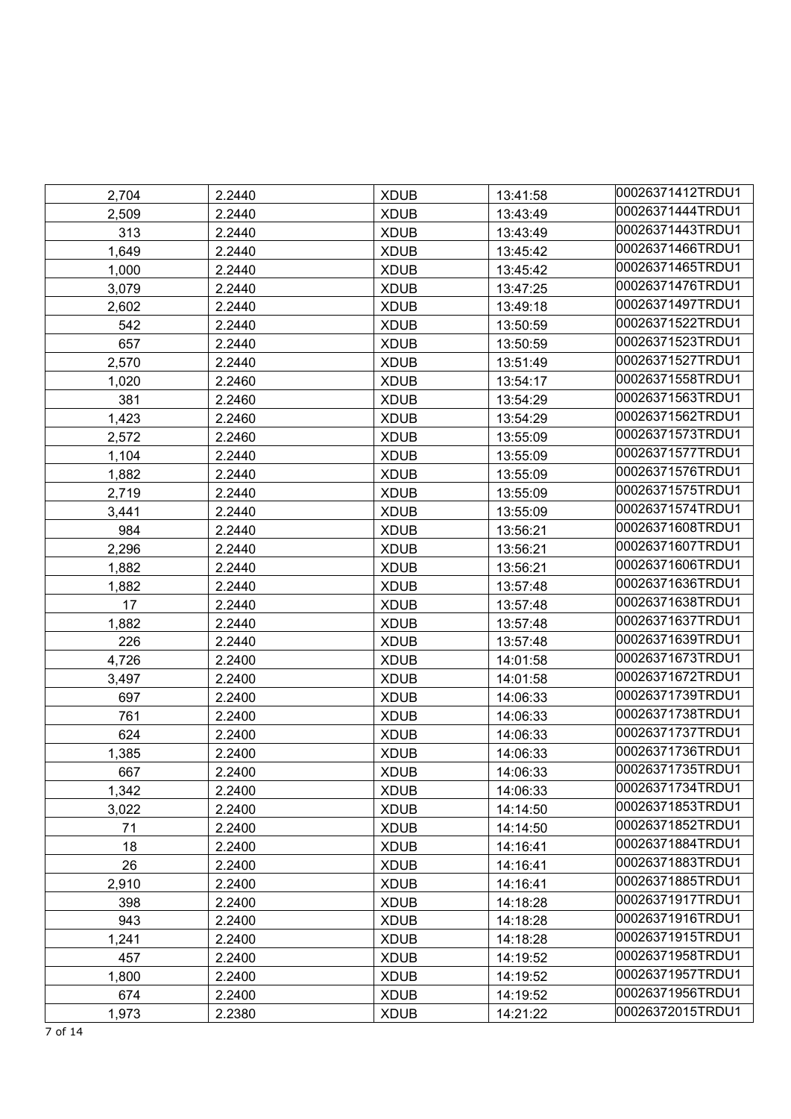| 2,704 | 2.2440 | <b>XDUB</b> | 13:41:58 | 00026371412TRDU1 |
|-------|--------|-------------|----------|------------------|
| 2,509 | 2.2440 | <b>XDUB</b> | 13:43:49 | 00026371444TRDU1 |
| 313   | 2.2440 | <b>XDUB</b> | 13:43:49 | 00026371443TRDU1 |
| 1,649 | 2.2440 | <b>XDUB</b> | 13:45:42 | 00026371466TRDU1 |
| 1,000 | 2.2440 | <b>XDUB</b> | 13:45:42 | 00026371465TRDU1 |
| 3,079 | 2.2440 | <b>XDUB</b> | 13:47:25 | 00026371476TRDU1 |
| 2,602 | 2.2440 | <b>XDUB</b> | 13:49:18 | 00026371497TRDU1 |
| 542   | 2.2440 | <b>XDUB</b> | 13:50:59 | 00026371522TRDU1 |
| 657   | 2.2440 | <b>XDUB</b> | 13:50:59 | 00026371523TRDU1 |
| 2,570 | 2.2440 | <b>XDUB</b> | 13:51:49 | 00026371527TRDU1 |
| 1,020 | 2.2460 | <b>XDUB</b> | 13:54:17 | 00026371558TRDU1 |
| 381   | 2.2460 | <b>XDUB</b> | 13:54:29 | 00026371563TRDU1 |
| 1,423 | 2.2460 | <b>XDUB</b> | 13:54:29 | 00026371562TRDU1 |
| 2,572 | 2.2460 | <b>XDUB</b> | 13:55:09 | 00026371573TRDU1 |
| 1,104 | 2.2440 | <b>XDUB</b> | 13:55:09 | 00026371577TRDU1 |
| 1,882 | 2.2440 | <b>XDUB</b> | 13:55:09 | 00026371576TRDU1 |
| 2,719 | 2.2440 | <b>XDUB</b> | 13:55:09 | 00026371575TRDU1 |
| 3,441 | 2.2440 | <b>XDUB</b> | 13:55:09 | 00026371574TRDU1 |
| 984   | 2.2440 | <b>XDUB</b> | 13:56:21 | 00026371608TRDU1 |
| 2,296 | 2.2440 | <b>XDUB</b> | 13:56:21 | 00026371607TRDU1 |
| 1,882 | 2.2440 | <b>XDUB</b> | 13:56:21 | 00026371606TRDU1 |
| 1,882 | 2.2440 | <b>XDUB</b> | 13:57:48 | 00026371636TRDU1 |
| 17    | 2.2440 | <b>XDUB</b> | 13:57:48 | 00026371638TRDU1 |
| 1,882 | 2.2440 | <b>XDUB</b> | 13:57:48 | 00026371637TRDU1 |
| 226   | 2.2440 | <b>XDUB</b> | 13:57:48 | 00026371639TRDU1 |
| 4,726 | 2.2400 | <b>XDUB</b> | 14:01:58 | 00026371673TRDU1 |
| 3,497 | 2.2400 | <b>XDUB</b> | 14:01:58 | 00026371672TRDU1 |
| 697   | 2.2400 | <b>XDUB</b> | 14:06:33 | 00026371739TRDU1 |
| 761   | 2.2400 | <b>XDUB</b> | 14:06:33 | 00026371738TRDU1 |
| 624   | 2.2400 | <b>XDUB</b> | 14:06:33 | 00026371737TRDU1 |
| 1,385 | 2.2400 | <b>XDUB</b> | 14:06:33 | 00026371736TRDU1 |
| 667   | 2.2400 | <b>XDUB</b> | 14:06:33 | 00026371735TRDU1 |
| 1,342 | 2.2400 | <b>XDUB</b> | 14:06:33 | 00026371734TRDU1 |
| 3,022 | 2.2400 | <b>XDUB</b> | 14:14:50 | 00026371853TRDU1 |
| 71    | 2.2400 | <b>XDUB</b> | 14:14:50 | 00026371852TRDU1 |
| 18    | 2.2400 | <b>XDUB</b> | 14:16:41 | 00026371884TRDU1 |
| 26    | 2.2400 | <b>XDUB</b> | 14:16:41 | 00026371883TRDU1 |
| 2,910 | 2.2400 | <b>XDUB</b> | 14:16:41 | 00026371885TRDU1 |
| 398   | 2.2400 | <b>XDUB</b> | 14:18:28 | 00026371917TRDU1 |
| 943   | 2.2400 | <b>XDUB</b> | 14:18:28 | 00026371916TRDU1 |
| 1,241 | 2.2400 | <b>XDUB</b> | 14:18:28 | 00026371915TRDU1 |
| 457   | 2.2400 | <b>XDUB</b> | 14:19:52 | 00026371958TRDU1 |
| 1,800 | 2.2400 | <b>XDUB</b> | 14:19:52 | 00026371957TRDU1 |
| 674   | 2.2400 | <b>XDUB</b> | 14:19:52 | 00026371956TRDU1 |
| 1,973 | 2.2380 | <b>XDUB</b> | 14:21:22 | 00026372015TRDU1 |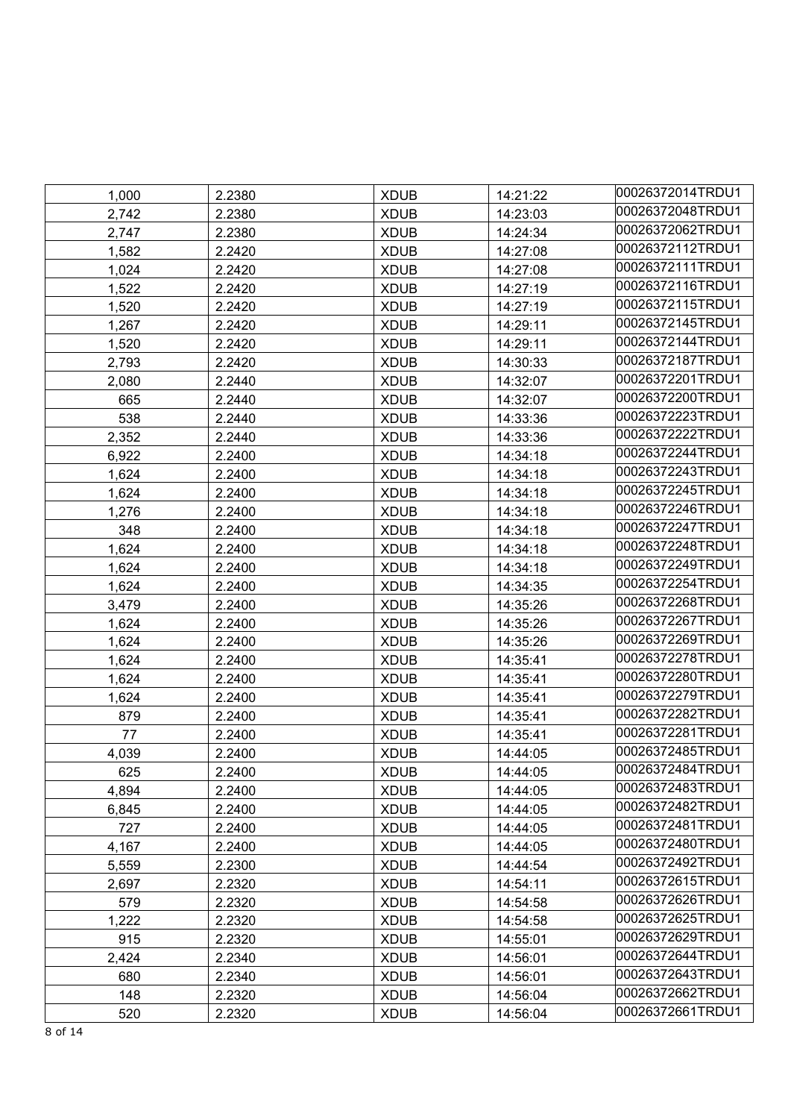|       |        |             |          | 00026372014TRDU1 |
|-------|--------|-------------|----------|------------------|
| 1,000 | 2.2380 | <b>XDUB</b> | 14:21:22 | 00026372048TRDU1 |
| 2,742 | 2.2380 | <b>XDUB</b> | 14:23:03 | 00026372062TRDU1 |
| 2,747 | 2.2380 | <b>XDUB</b> | 14:24:34 |                  |
| 1,582 | 2.2420 | <b>XDUB</b> | 14:27:08 | 00026372112TRDU1 |
| 1,024 | 2.2420 | <b>XDUB</b> | 14:27:08 | 00026372111TRDU1 |
| 1,522 | 2.2420 | <b>XDUB</b> | 14:27:19 | 00026372116TRDU1 |
| 1,520 | 2.2420 | <b>XDUB</b> | 14:27:19 | 00026372115TRDU1 |
| 1,267 | 2.2420 | <b>XDUB</b> | 14:29:11 | 00026372145TRDU1 |
| 1,520 | 2.2420 | <b>XDUB</b> | 14:29:11 | 00026372144TRDU1 |
| 2,793 | 2.2420 | <b>XDUB</b> | 14:30:33 | 00026372187TRDU1 |
| 2,080 | 2.2440 | <b>XDUB</b> | 14:32:07 | 00026372201TRDU1 |
| 665   | 2.2440 | <b>XDUB</b> | 14:32:07 | 00026372200TRDU1 |
| 538   | 2.2440 | <b>XDUB</b> | 14:33:36 | 00026372223TRDU1 |
| 2,352 | 2.2440 | <b>XDUB</b> | 14:33:36 | 00026372222TRDU1 |
| 6,922 | 2.2400 | <b>XDUB</b> | 14:34:18 | 00026372244TRDU1 |
| 1,624 | 2.2400 | <b>XDUB</b> | 14:34:18 | 00026372243TRDU1 |
| 1,624 | 2.2400 | <b>XDUB</b> | 14:34:18 | 00026372245TRDU1 |
| 1,276 | 2.2400 | <b>XDUB</b> | 14:34:18 | 00026372246TRDU1 |
| 348   | 2.2400 | <b>XDUB</b> | 14:34:18 | 00026372247TRDU1 |
| 1,624 | 2.2400 | <b>XDUB</b> | 14:34:18 | 00026372248TRDU1 |
| 1,624 | 2.2400 | <b>XDUB</b> | 14:34:18 | 00026372249TRDU1 |
| 1,624 | 2.2400 | <b>XDUB</b> | 14:34:35 | 00026372254TRDU1 |
| 3,479 | 2.2400 | <b>XDUB</b> | 14:35:26 | 00026372268TRDU1 |
| 1,624 | 2.2400 | <b>XDUB</b> | 14:35:26 | 00026372267TRDU1 |
| 1,624 | 2.2400 | <b>XDUB</b> | 14:35:26 | 00026372269TRDU1 |
| 1,624 | 2.2400 | <b>XDUB</b> | 14:35:41 | 00026372278TRDU1 |
| 1,624 | 2.2400 | <b>XDUB</b> | 14:35:41 | 00026372280TRDU1 |
| 1,624 | 2.2400 | <b>XDUB</b> | 14:35:41 | 00026372279TRDU1 |
| 879   | 2.2400 | <b>XDUB</b> | 14:35:41 | 00026372282TRDU1 |
| 77    | 2.2400 | <b>XDUB</b> | 14:35:41 | 00026372281TRDU1 |
| 4,039 | 2.2400 | <b>XDUB</b> | 14:44:05 | 00026372485TRDU1 |
| 625   | 2.2400 | <b>XDUB</b> | 14:44:05 | 00026372484TRDU1 |
| 4,894 | 2.2400 | <b>XDUB</b> | 14:44:05 | 00026372483TRDU1 |
| 6,845 | 2.2400 | <b>XDUB</b> | 14:44:05 | 00026372482TRDU1 |
| 727   | 2.2400 | <b>XDUB</b> | 14:44:05 | 00026372481TRDU1 |
| 4,167 | 2.2400 | <b>XDUB</b> | 14:44:05 | 00026372480TRDU1 |
| 5,559 | 2.2300 | <b>XDUB</b> | 14:44:54 | 00026372492TRDU1 |
| 2,697 | 2.2320 | <b>XDUB</b> | 14:54:11 | 00026372615TRDU1 |
| 579   | 2.2320 | <b>XDUB</b> | 14:54:58 | 00026372626TRDU1 |
| 1,222 | 2.2320 | <b>XDUB</b> | 14:54:58 | 00026372625TRDU1 |
| 915   | 2.2320 | <b>XDUB</b> | 14:55:01 | 00026372629TRDU1 |
| 2,424 | 2.2340 | <b>XDUB</b> | 14:56:01 | 00026372644TRDU1 |
| 680   | 2.2340 | <b>XDUB</b> | 14:56:01 | 00026372643TRDU1 |
| 148   | 2.2320 | <b>XDUB</b> | 14:56:04 | 00026372662TRDU1 |
| 520   | 2.2320 | <b>XDUB</b> | 14:56:04 | 00026372661TRDU1 |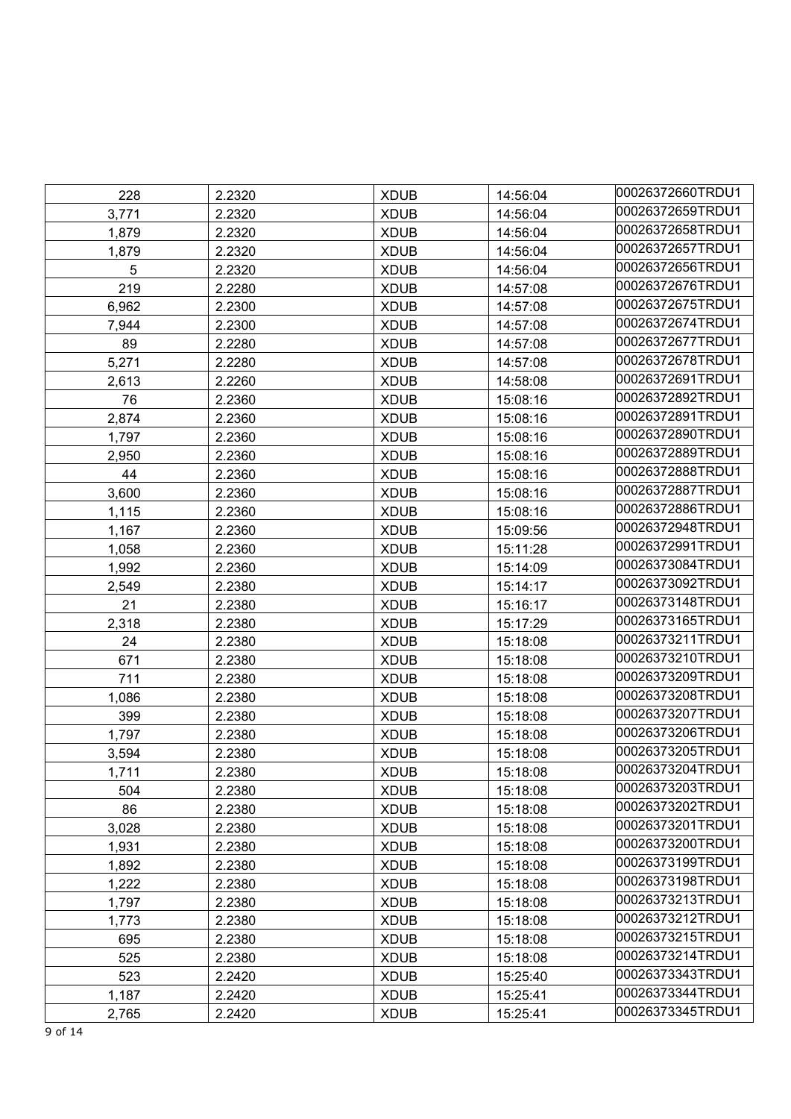| 228   | 2.2320 | <b>XDUB</b> | 14:56:04 | 00026372660TRDU1 |
|-------|--------|-------------|----------|------------------|
| 3,771 | 2.2320 | <b>XDUB</b> | 14:56:04 | 00026372659TRDU1 |
| 1,879 | 2.2320 | <b>XDUB</b> | 14:56:04 | 00026372658TRDU1 |
| 1,879 | 2.2320 | <b>XDUB</b> | 14:56:04 | 00026372657TRDU1 |
| 5     | 2.2320 | <b>XDUB</b> | 14:56:04 | 00026372656TRDU1 |
| 219   | 2.2280 | <b>XDUB</b> | 14:57:08 | 00026372676TRDU1 |
| 6,962 | 2.2300 | <b>XDUB</b> | 14:57:08 | 00026372675TRDU1 |
| 7,944 | 2.2300 | <b>XDUB</b> | 14:57:08 | 00026372674TRDU1 |
| 89    | 2.2280 | <b>XDUB</b> | 14:57:08 | 00026372677TRDU1 |
| 5,271 | 2.2280 | <b>XDUB</b> | 14:57:08 | 00026372678TRDU1 |
| 2,613 | 2.2260 | <b>XDUB</b> | 14:58:08 | 00026372691TRDU1 |
| 76    | 2.2360 | <b>XDUB</b> | 15:08:16 | 00026372892TRDU1 |
| 2,874 | 2.2360 | <b>XDUB</b> | 15:08:16 | 00026372891TRDU1 |
| 1,797 | 2.2360 | <b>XDUB</b> | 15:08:16 | 00026372890TRDU1 |
| 2,950 | 2.2360 | <b>XDUB</b> | 15:08:16 | 00026372889TRDU1 |
| 44    | 2.2360 | <b>XDUB</b> | 15:08:16 | 00026372888TRDU1 |
| 3,600 | 2.2360 | <b>XDUB</b> | 15:08:16 | 00026372887TRDU1 |
| 1,115 | 2.2360 | <b>XDUB</b> | 15:08:16 | 00026372886TRDU1 |
| 1,167 | 2.2360 | <b>XDUB</b> | 15:09:56 | 00026372948TRDU1 |
| 1,058 | 2.2360 | <b>XDUB</b> | 15:11:28 | 00026372991TRDU1 |
| 1,992 | 2.2360 | <b>XDUB</b> | 15:14:09 | 00026373084TRDU1 |
| 2,549 | 2.2380 | <b>XDUB</b> | 15:14:17 | 00026373092TRDU1 |
| 21    | 2.2380 | <b>XDUB</b> | 15:16:17 | 00026373148TRDU1 |
| 2,318 | 2.2380 | <b>XDUB</b> | 15:17:29 | 00026373165TRDU1 |
| 24    | 2.2380 | <b>XDUB</b> | 15:18:08 | 00026373211TRDU1 |
| 671   | 2.2380 | <b>XDUB</b> | 15:18:08 | 00026373210TRDU1 |
| 711   | 2.2380 | <b>XDUB</b> | 15:18:08 | 00026373209TRDU1 |
| 1,086 | 2.2380 | <b>XDUB</b> | 15:18:08 | 00026373208TRDU1 |
| 399   | 2.2380 | <b>XDUB</b> | 15:18:08 | 00026373207TRDU1 |
| 1,797 | 2.2380 | <b>XDUB</b> | 15:18:08 | 00026373206TRDU1 |
| 3,594 | 2.2380 | <b>XDUB</b> | 15:18:08 | 00026373205TRDU1 |
| 1,711 | 2.2380 | <b>XDUB</b> | 15:18:08 | 00026373204TRDU1 |
| 504   | 2.2380 | <b>XDUB</b> | 15:18:08 | 00026373203TRDU1 |
| 86    | 2.2380 | <b>XDUB</b> | 15:18:08 | 00026373202TRDU1 |
| 3,028 | 2.2380 | <b>XDUB</b> | 15:18:08 | 00026373201TRDU1 |
| 1,931 | 2.2380 | <b>XDUB</b> | 15:18:08 | 00026373200TRDU1 |
| 1,892 | 2.2380 | <b>XDUB</b> | 15:18:08 | 00026373199TRDU1 |
| 1,222 | 2.2380 | <b>XDUB</b> | 15:18:08 | 00026373198TRDU1 |
| 1,797 | 2.2380 | <b>XDUB</b> | 15:18:08 | 00026373213TRDU1 |
| 1,773 | 2.2380 | <b>XDUB</b> | 15:18:08 | 00026373212TRDU1 |
| 695   | 2.2380 | <b>XDUB</b> | 15:18:08 | 00026373215TRDU1 |
| 525   | 2.2380 | <b>XDUB</b> | 15:18:08 | 00026373214TRDU1 |
| 523   | 2.2420 | <b>XDUB</b> | 15:25:40 | 00026373343TRDU1 |
| 1,187 | 2.2420 | <b>XDUB</b> | 15:25:41 | 00026373344TRDU1 |
| 2,765 | 2.2420 | <b>XDUB</b> | 15:25:41 | 00026373345TRDU1 |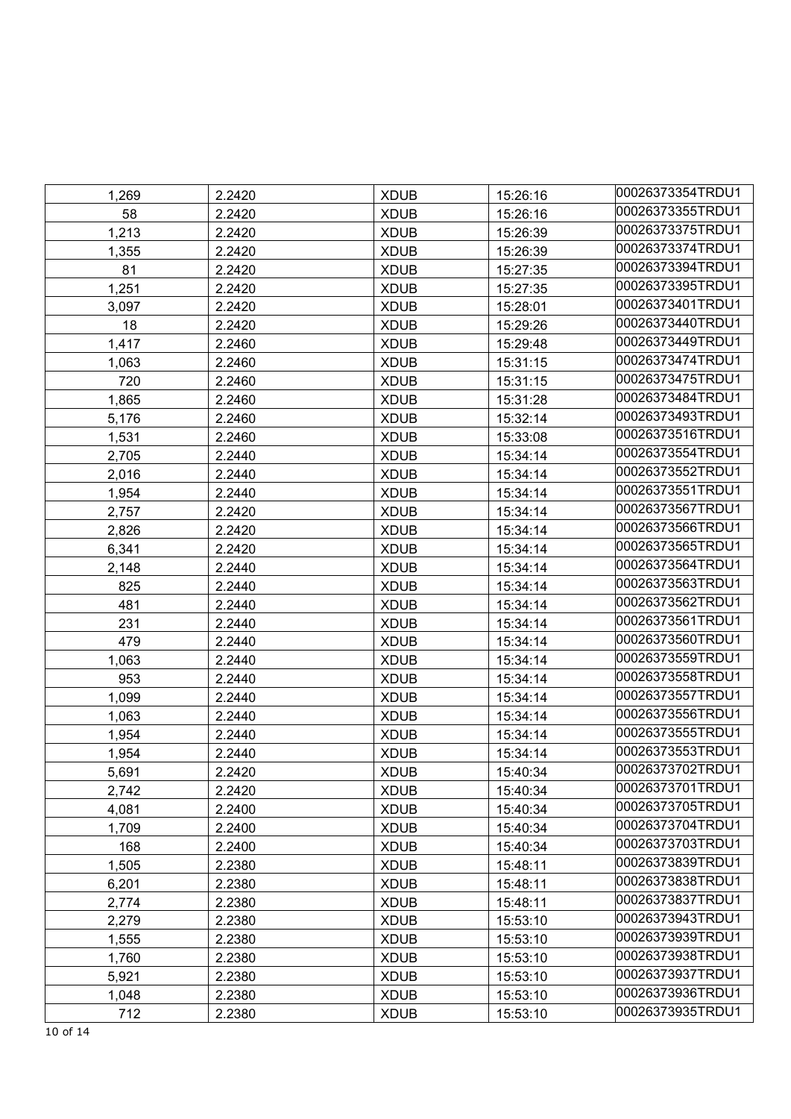| 1,269 | 2.2420 | <b>XDUB</b> | 15:26:16 | 00026373354TRDU1 |
|-------|--------|-------------|----------|------------------|
| 58    | 2.2420 | <b>XDUB</b> | 15:26:16 | 00026373355TRDU1 |
| 1,213 | 2.2420 | <b>XDUB</b> | 15:26:39 | 00026373375TRDU1 |
| 1,355 | 2.2420 | <b>XDUB</b> | 15:26:39 | 00026373374TRDU1 |
| 81    | 2.2420 | <b>XDUB</b> | 15:27:35 | 00026373394TRDU1 |
| 1,251 | 2.2420 | <b>XDUB</b> | 15:27:35 | 00026373395TRDU1 |
| 3,097 | 2.2420 | <b>XDUB</b> | 15:28:01 | 00026373401TRDU1 |
| 18    | 2.2420 | <b>XDUB</b> | 15:29:26 | 00026373440TRDU1 |
| 1,417 | 2.2460 | <b>XDUB</b> | 15:29:48 | 00026373449TRDU1 |
| 1,063 | 2.2460 | <b>XDUB</b> | 15:31:15 | 00026373474TRDU1 |
| 720   | 2.2460 | <b>XDUB</b> | 15:31:15 | 00026373475TRDU1 |
| 1,865 | 2.2460 | <b>XDUB</b> | 15:31:28 | 00026373484TRDU1 |
| 5,176 | 2.2460 | <b>XDUB</b> | 15:32:14 | 00026373493TRDU1 |
| 1,531 | 2.2460 | <b>XDUB</b> | 15:33:08 | 00026373516TRDU1 |
| 2,705 | 2.2440 | <b>XDUB</b> | 15:34:14 | 00026373554TRDU1 |
| 2,016 | 2.2440 | <b>XDUB</b> | 15:34:14 | 00026373552TRDU1 |
| 1,954 | 2.2440 | <b>XDUB</b> | 15:34:14 | 00026373551TRDU1 |
| 2,757 | 2.2420 | <b>XDUB</b> | 15:34:14 | 00026373567TRDU1 |
| 2,826 | 2.2420 | <b>XDUB</b> | 15:34:14 | 00026373566TRDU1 |
| 6,341 | 2.2420 | <b>XDUB</b> | 15:34:14 | 00026373565TRDU1 |
| 2,148 | 2.2440 | <b>XDUB</b> | 15:34:14 | 00026373564TRDU1 |
| 825   | 2.2440 | <b>XDUB</b> | 15:34:14 | 00026373563TRDU1 |
| 481   | 2.2440 | <b>XDUB</b> | 15:34:14 | 00026373562TRDU1 |
| 231   | 2.2440 | <b>XDUB</b> | 15:34:14 | 00026373561TRDU1 |
| 479   | 2.2440 | <b>XDUB</b> | 15:34:14 | 00026373560TRDU1 |
| 1,063 | 2.2440 | <b>XDUB</b> | 15:34:14 | 00026373559TRDU1 |
| 953   | 2.2440 | <b>XDUB</b> | 15:34:14 | 00026373558TRDU1 |
| 1,099 | 2.2440 | <b>XDUB</b> | 15:34:14 | 00026373557TRDU1 |
| 1,063 | 2.2440 | <b>XDUB</b> | 15:34:14 | 00026373556TRDU1 |
| 1,954 | 2.2440 | <b>XDUB</b> | 15:34:14 | 00026373555TRDU1 |
| 1,954 | 2.2440 | <b>XDUB</b> | 15:34:14 | 00026373553TRDU1 |
| 5,691 | 2.2420 | <b>XDUB</b> | 15:40:34 | 00026373702TRDU1 |
| 2,742 | 2.2420 | <b>XDUB</b> | 15:40:34 | 00026373701TRDU1 |
| 4,081 | 2.2400 | <b>XDUB</b> | 15:40:34 | 00026373705TRDU1 |
| 1,709 | 2.2400 | <b>XDUB</b> | 15:40:34 | 00026373704TRDU1 |
| 168   | 2.2400 | <b>XDUB</b> | 15:40:34 | 00026373703TRDU1 |
| 1,505 | 2.2380 | <b>XDUB</b> | 15:48:11 | 00026373839TRDU1 |
| 6,201 | 2.2380 | <b>XDUB</b> | 15:48:11 | 00026373838TRDU1 |
| 2,774 | 2.2380 | <b>XDUB</b> | 15:48:11 | 00026373837TRDU1 |
| 2,279 | 2.2380 | <b>XDUB</b> | 15:53:10 | 00026373943TRDU1 |
| 1,555 | 2.2380 | <b>XDUB</b> | 15:53:10 | 00026373939TRDU1 |
| 1,760 | 2.2380 | <b>XDUB</b> | 15:53:10 | 00026373938TRDU1 |
| 5,921 | 2.2380 | <b>XDUB</b> | 15:53:10 | 00026373937TRDU1 |
| 1,048 | 2.2380 | <b>XDUB</b> | 15:53:10 | 00026373936TRDU1 |
| 712   | 2.2380 | <b>XDUB</b> | 15:53:10 | 00026373935TRDU1 |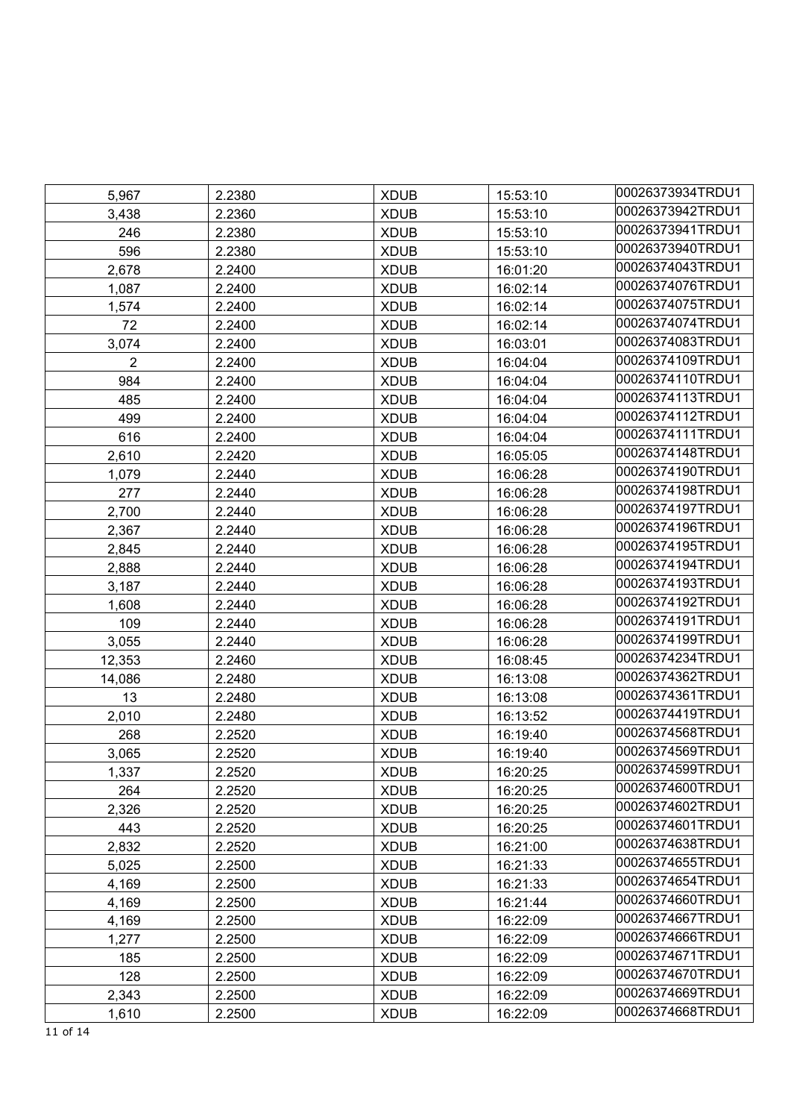| 5,967          | 2.2380 | <b>XDUB</b> | 15:53:10 | 00026373934TRDU1 |
|----------------|--------|-------------|----------|------------------|
| 3,438          | 2.2360 | <b>XDUB</b> | 15:53:10 | 00026373942TRDU1 |
| 246            | 2.2380 | <b>XDUB</b> | 15:53:10 | 00026373941TRDU1 |
| 596            | 2.2380 | <b>XDUB</b> | 15:53:10 | 00026373940TRDU1 |
| 2,678          | 2.2400 | <b>XDUB</b> | 16:01:20 | 00026374043TRDU1 |
| 1,087          | 2.2400 | <b>XDUB</b> | 16:02:14 | 00026374076TRDU1 |
| 1,574          | 2.2400 | <b>XDUB</b> | 16:02:14 | 00026374075TRDU1 |
| 72             | 2.2400 | <b>XDUB</b> | 16:02:14 | 00026374074TRDU1 |
| 3,074          | 2.2400 | <b>XDUB</b> | 16:03:01 | 00026374083TRDU1 |
| $\overline{2}$ | 2.2400 | <b>XDUB</b> | 16:04:04 | 00026374109TRDU1 |
| 984            | 2.2400 | <b>XDUB</b> | 16:04:04 | 00026374110TRDU1 |
| 485            | 2.2400 | <b>XDUB</b> | 16:04:04 | 00026374113TRDU1 |
| 499            | 2.2400 | <b>XDUB</b> | 16:04:04 | 00026374112TRDU1 |
| 616            | 2.2400 | <b>XDUB</b> | 16:04:04 | 00026374111TRDU1 |
| 2,610          | 2.2420 | <b>XDUB</b> | 16:05:05 | 00026374148TRDU1 |
| 1,079          | 2.2440 | <b>XDUB</b> | 16:06:28 | 00026374190TRDU1 |
| 277            | 2.2440 | <b>XDUB</b> | 16:06:28 | 00026374198TRDU1 |
| 2,700          | 2.2440 | <b>XDUB</b> | 16:06:28 | 00026374197TRDU1 |
| 2,367          | 2.2440 | <b>XDUB</b> | 16:06:28 | 00026374196TRDU1 |
| 2,845          | 2.2440 | <b>XDUB</b> | 16:06:28 | 00026374195TRDU1 |
| 2,888          | 2.2440 | <b>XDUB</b> | 16:06:28 | 00026374194TRDU1 |
| 3,187          | 2.2440 | <b>XDUB</b> | 16:06:28 | 00026374193TRDU1 |
| 1,608          | 2.2440 | <b>XDUB</b> | 16:06:28 | 00026374192TRDU1 |
| 109            | 2.2440 | <b>XDUB</b> | 16:06:28 | 00026374191TRDU1 |
| 3,055          | 2.2440 | <b>XDUB</b> | 16:06:28 | 00026374199TRDU1 |
| 12,353         | 2.2460 | <b>XDUB</b> | 16:08:45 | 00026374234TRDU1 |
| 14,086         | 2.2480 | <b>XDUB</b> | 16:13:08 | 00026374362TRDU1 |
| 13             | 2.2480 | <b>XDUB</b> | 16:13:08 | 00026374361TRDU1 |
| 2,010          | 2.2480 | <b>XDUB</b> | 16:13:52 | 00026374419TRDU1 |
| 268            | 2.2520 | <b>XDUB</b> | 16:19:40 | 00026374568TRDU1 |
| 3,065          | 2.2520 | <b>XDUB</b> | 16:19:40 | 00026374569TRDU1 |
| 1,337          | 2.2520 | <b>XDUB</b> | 16:20:25 | 00026374599TRDU1 |
| 264            | 2.2520 | <b>XDUB</b> | 16:20:25 | 00026374600TRDU1 |
| 2,326          | 2.2520 | <b>XDUB</b> | 16:20:25 | 00026374602TRDU1 |
| 443            | 2.2520 | <b>XDUB</b> | 16:20:25 | 00026374601TRDU1 |
| 2,832          | 2.2520 | <b>XDUB</b> | 16:21:00 | 00026374638TRDU1 |
| 5,025          | 2.2500 | <b>XDUB</b> | 16:21:33 | 00026374655TRDU1 |
| 4,169          | 2.2500 | <b>XDUB</b> | 16:21:33 | 00026374654TRDU1 |
| 4,169          | 2.2500 | <b>XDUB</b> | 16:21:44 | 00026374660TRDU1 |
| 4,169          | 2.2500 | <b>XDUB</b> | 16:22:09 | 00026374667TRDU1 |
| 1,277          | 2.2500 | <b>XDUB</b> | 16:22:09 | 00026374666TRDU1 |
| 185            | 2.2500 | <b>XDUB</b> | 16:22:09 | 00026374671TRDU1 |
| 128            | 2.2500 | <b>XDUB</b> | 16:22:09 | 00026374670TRDU1 |
| 2,343          | 2.2500 | <b>XDUB</b> | 16:22:09 | 00026374669TRDU1 |
| 1,610          | 2.2500 | <b>XDUB</b> | 16:22:09 | 00026374668TRDU1 |